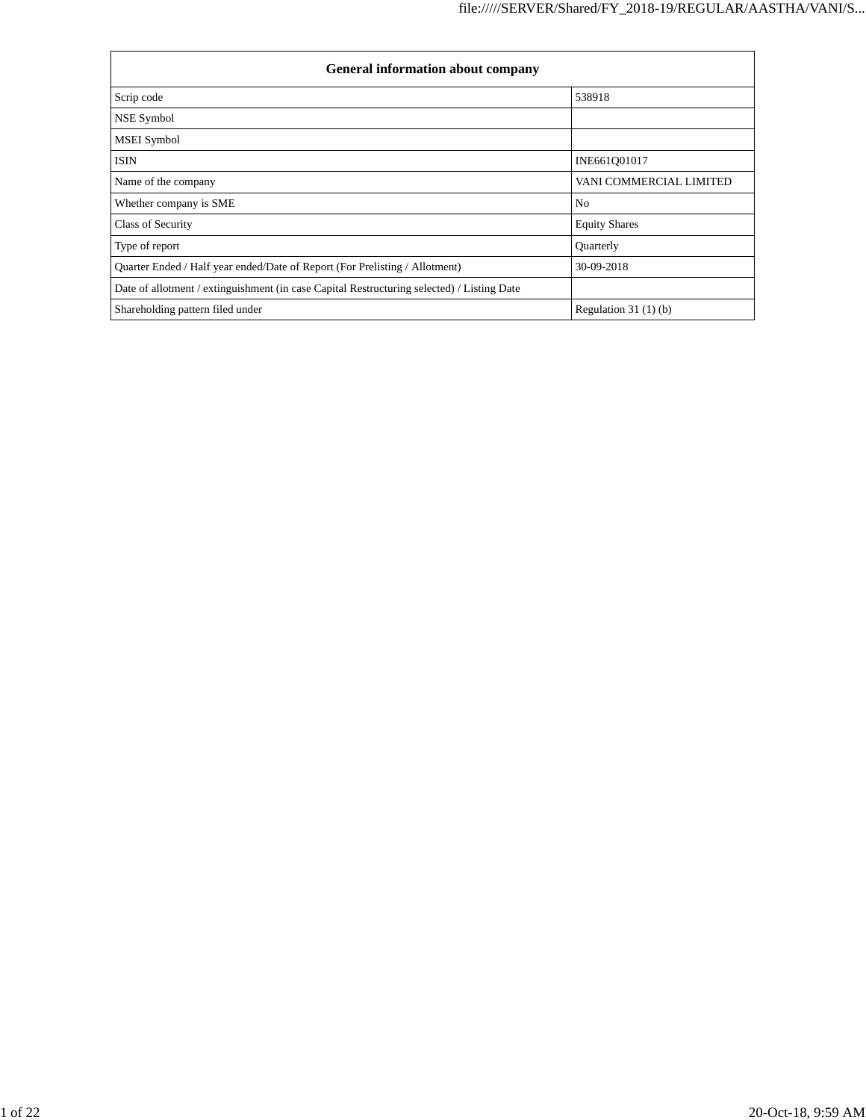| <b>General information about company</b>                                                   |                         |  |  |  |  |  |  |  |  |
|--------------------------------------------------------------------------------------------|-------------------------|--|--|--|--|--|--|--|--|
| Scrip code                                                                                 | 538918                  |  |  |  |  |  |  |  |  |
| NSE Symbol                                                                                 |                         |  |  |  |  |  |  |  |  |
| <b>MSEI</b> Symbol                                                                         |                         |  |  |  |  |  |  |  |  |
| <b>ISIN</b>                                                                                | INE661Q01017            |  |  |  |  |  |  |  |  |
| Name of the company                                                                        | VANI COMMERCIAL LIMITED |  |  |  |  |  |  |  |  |
| Whether company is SME                                                                     | N <sub>0</sub>          |  |  |  |  |  |  |  |  |
| Class of Security                                                                          | <b>Equity Shares</b>    |  |  |  |  |  |  |  |  |
| Type of report                                                                             | Quarterly               |  |  |  |  |  |  |  |  |
| Quarter Ended / Half year ended/Date of Report (For Prelisting / Allotment)                | 30-09-2018              |  |  |  |  |  |  |  |  |
| Date of allotment / extinguishment (in case Capital Restructuring selected) / Listing Date |                         |  |  |  |  |  |  |  |  |
| Shareholding pattern filed under                                                           | Regulation $31(1)(b)$   |  |  |  |  |  |  |  |  |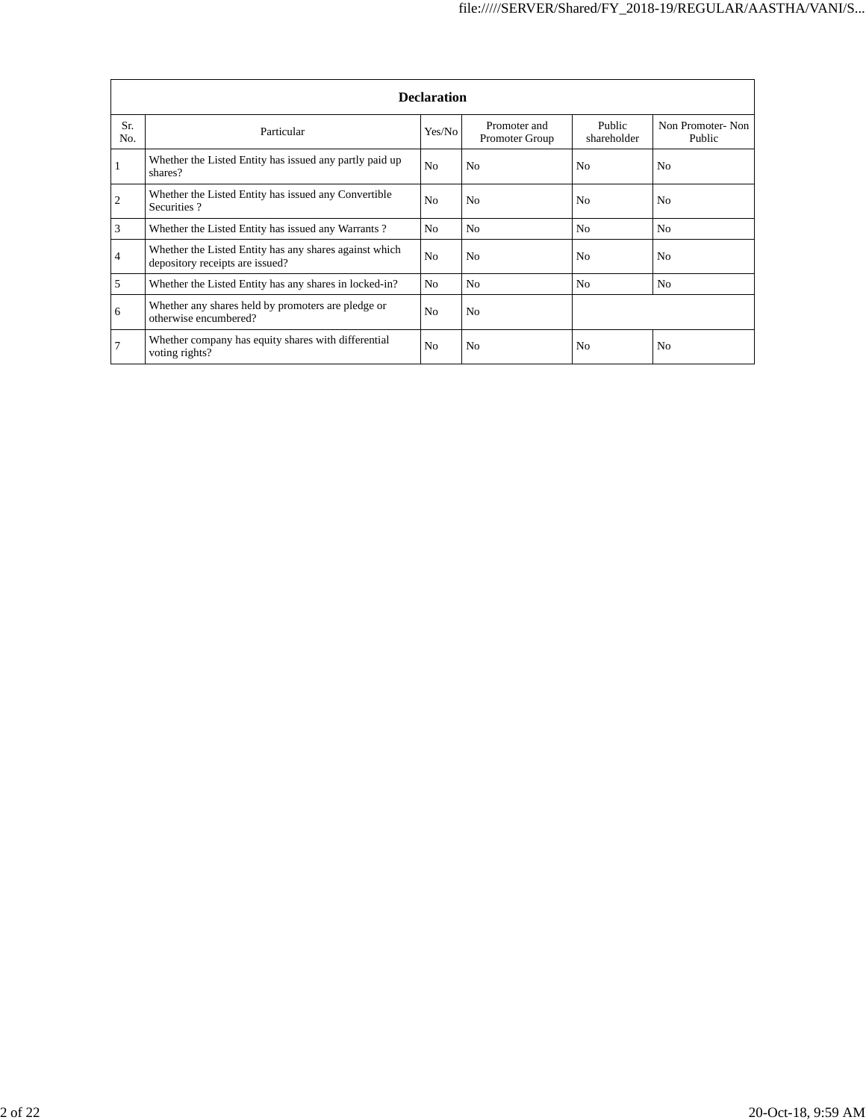|                | <b>Declaration</b>                                                                        |                |                                |                       |                            |  |  |  |  |  |  |  |
|----------------|-------------------------------------------------------------------------------------------|----------------|--------------------------------|-----------------------|----------------------------|--|--|--|--|--|--|--|
| Sr.<br>No.     | Particular                                                                                | Yes/No         | Promoter and<br>Promoter Group | Public<br>shareholder | Non Promoter-Non<br>Public |  |  |  |  |  |  |  |
|                | Whether the Listed Entity has issued any partly paid up<br>shares?                        | N <sub>o</sub> | No                             | N <sub>0</sub>        | N <sub>o</sub>             |  |  |  |  |  |  |  |
| $\overline{c}$ | Whether the Listed Entity has issued any Convertible<br>Securities?                       | N <sub>o</sub> | No                             | No                    | N <sub>o</sub>             |  |  |  |  |  |  |  |
| 3              | Whether the Listed Entity has issued any Warrants?                                        | N <sub>0</sub> | N <sub>0</sub>                 | N <sub>0</sub>        | N <sub>o</sub>             |  |  |  |  |  |  |  |
| 4              | Whether the Listed Entity has any shares against which<br>depository receipts are issued? | N <sub>o</sub> | N <sub>0</sub>                 | N <sub>0</sub>        | N <sub>o</sub>             |  |  |  |  |  |  |  |
| 5              | Whether the Listed Entity has any shares in locked-in?                                    | N <sub>0</sub> | N <sub>0</sub>                 | N <sub>0</sub>        | N <sub>o</sub>             |  |  |  |  |  |  |  |
| 6              | Whether any shares held by promoters are pledge or<br>otherwise encumbered?               | N <sub>o</sub> | N <sub>0</sub>                 |                       |                            |  |  |  |  |  |  |  |
| 7              | Whether company has equity shares with differential<br>voting rights?                     | N <sub>o</sub> | No                             | N <sub>0</sub>        | N <sub>0</sub>             |  |  |  |  |  |  |  |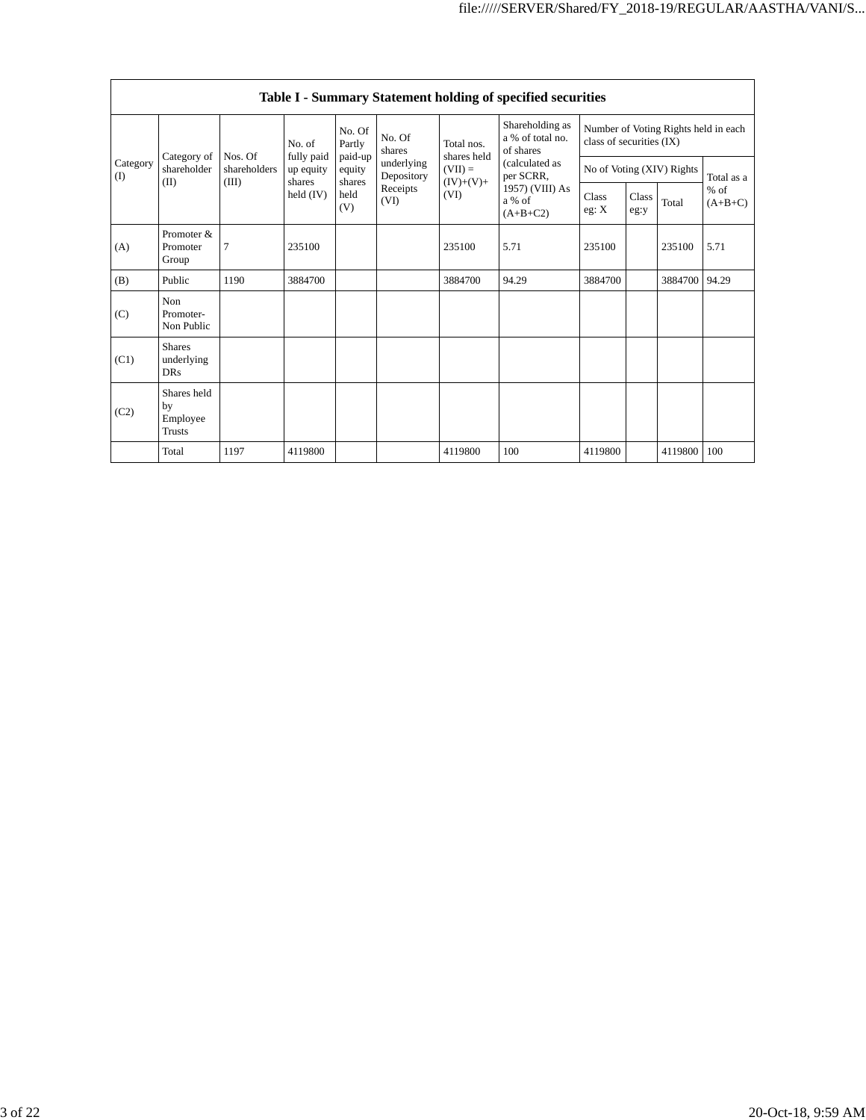|                 | Table I - Summary Statement holding of specified securities |                                  |                         |                       |                          |                           |                                                                                                                            |                                                                  |               |                           |                     |  |  |
|-----------------|-------------------------------------------------------------|----------------------------------|-------------------------|-----------------------|--------------------------|---------------------------|----------------------------------------------------------------------------------------------------------------------------|------------------------------------------------------------------|---------------|---------------------------|---------------------|--|--|
|                 | Category of<br>shareholder<br>(II)                          | Nos. Of<br>shareholders<br>(III) | No. of                  | No. Of<br>Partly      | No. Of<br>shares         | Total nos.<br>shares held | Shareholding as<br>a % of total no.<br>of shares<br>(calculated as<br>per SCRR,<br>1957) (VIII) As<br>a % of<br>$(A+B+C2)$ | Number of Voting Rights held in each<br>class of securities (IX) |               |                           |                     |  |  |
| Category<br>(I) |                                                             |                                  | fully paid<br>up equity | paid-up<br>equity     | underlying<br>Depository | $(VII) =$                 |                                                                                                                            |                                                                  |               | No of Voting (XIV) Rights | Total as a          |  |  |
|                 |                                                             |                                  | shares<br>held (IV)     | shares<br>held<br>(V) | Receipts<br>(VI)         | $(IV)+(V)+$<br>(VI)       |                                                                                                                            | Class<br>eg: X                                                   | Class<br>eg:y | Total                     | $%$ of<br>$(A+B+C)$ |  |  |
| (A)             | Promoter &<br>Promoter<br>Group                             | $\tau$                           | 235100                  |                       |                          | 235100                    | 5.71                                                                                                                       | 235100                                                           |               | 235100                    | 5.71                |  |  |
| (B)             | Public                                                      | 1190                             | 3884700                 |                       |                          | 3884700                   | 94.29                                                                                                                      | 3884700                                                          |               | 3884700                   | 94.29               |  |  |
| (C)             | Non<br>Promoter-<br>Non Public                              |                                  |                         |                       |                          |                           |                                                                                                                            |                                                                  |               |                           |                     |  |  |
| (C1)            | <b>Shares</b><br>underlying<br><b>DRs</b>                   |                                  |                         |                       |                          |                           |                                                                                                                            |                                                                  |               |                           |                     |  |  |
| (C2)            | Shares held<br>by<br>Employee<br><b>Trusts</b>              |                                  |                         |                       |                          |                           |                                                                                                                            |                                                                  |               |                           |                     |  |  |
|                 | Total                                                       | 1197                             | 4119800                 |                       |                          | 4119800                   | 100                                                                                                                        | 4119800                                                          |               | 4119800                   | 100                 |  |  |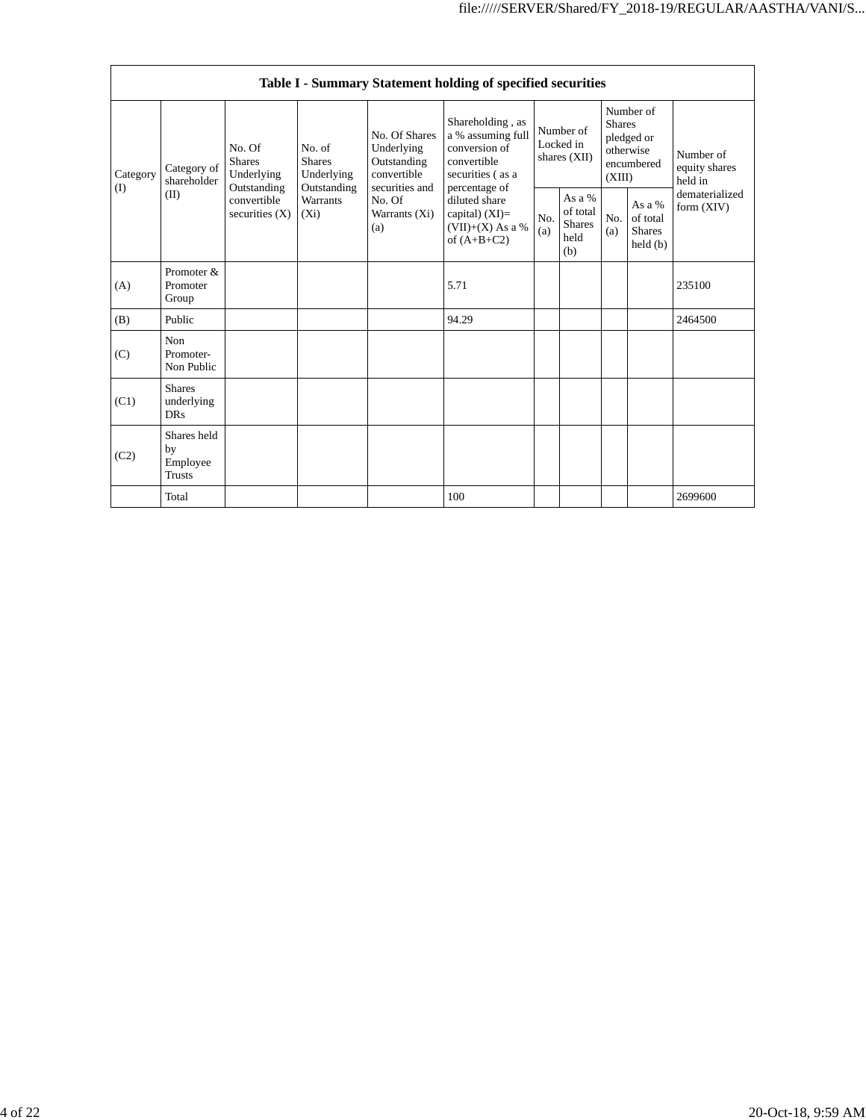|                 | Table I - Summary Statement holding of specified securities |                                                                                         |                                                      |                                                                                                               |                                                                                                                                                                                         |                                        |                                                    |                                                                               |                                                |                                       |  |  |
|-----------------|-------------------------------------------------------------|-----------------------------------------------------------------------------------------|------------------------------------------------------|---------------------------------------------------------------------------------------------------------------|-----------------------------------------------------------------------------------------------------------------------------------------------------------------------------------------|----------------------------------------|----------------------------------------------------|-------------------------------------------------------------------------------|------------------------------------------------|---------------------------------------|--|--|
| Category<br>(1) | Category of<br>shareholder<br>(II)                          | No. Of<br><b>Shares</b><br>Underlying<br>Outstanding<br>convertible<br>securities $(X)$ | No. of<br><b>Shares</b><br>Underlying<br>Outstanding | No. Of Shares<br>Underlying<br>Outstanding<br>convertible<br>securities and<br>No. Of<br>Warrants (Xi)<br>(a) | Shareholding, as<br>a % assuming full<br>conversion of<br>convertible<br>securities (as a<br>percentage of<br>diluted share<br>capital) $(XI)$ =<br>$(VII)+(X)$ As a %<br>of $(A+B+C2)$ | Number of<br>Locked in<br>shares (XII) |                                                    | Number of<br><b>Shares</b><br>pledged or<br>otherwise<br>encumbered<br>(XIII) |                                                | Number of<br>equity shares<br>held in |  |  |
|                 |                                                             |                                                                                         | Warrants<br>$(X_i)$                                  |                                                                                                               |                                                                                                                                                                                         | No.<br>(a)                             | As a %<br>of total<br><b>Shares</b><br>held<br>(b) | No.<br>(a)                                                                    | As a %<br>of total<br><b>Shares</b><br>held(b) | dematerialized<br>form $(XIV)$        |  |  |
| (A)             | Promoter &<br>Promoter<br>Group                             |                                                                                         |                                                      |                                                                                                               | 5.71                                                                                                                                                                                    |                                        |                                                    |                                                                               |                                                | 235100                                |  |  |
| (B)             | Public                                                      |                                                                                         |                                                      |                                                                                                               | 94.29                                                                                                                                                                                   |                                        |                                                    |                                                                               |                                                | 2464500                               |  |  |
| (C)             | Non<br>Promoter-<br>Non Public                              |                                                                                         |                                                      |                                                                                                               |                                                                                                                                                                                         |                                        |                                                    |                                                                               |                                                |                                       |  |  |
| (C1)            | <b>Shares</b><br>underlying<br><b>DRs</b>                   |                                                                                         |                                                      |                                                                                                               |                                                                                                                                                                                         |                                        |                                                    |                                                                               |                                                |                                       |  |  |
| (C2)            | Shares held<br>by<br>Employee<br><b>Trusts</b>              |                                                                                         |                                                      |                                                                                                               |                                                                                                                                                                                         |                                        |                                                    |                                                                               |                                                |                                       |  |  |
|                 | Total                                                       |                                                                                         |                                                      |                                                                                                               | 100                                                                                                                                                                                     |                                        |                                                    |                                                                               |                                                | 2699600                               |  |  |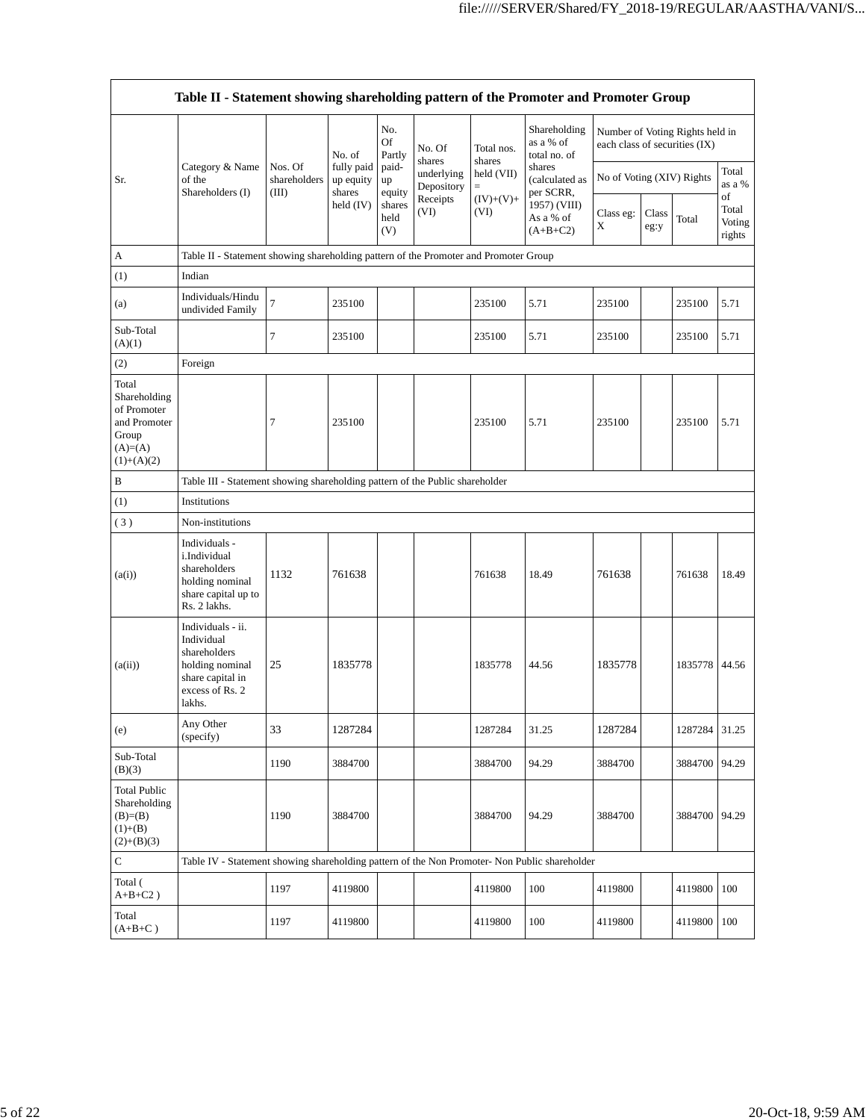|                                                                                            | Table II - Statement showing shareholding pattern of the Promoter and Promoter Group                                |                                  |                                   |                       |                          |                      |                                           |                               |               |                                 |                                 |
|--------------------------------------------------------------------------------------------|---------------------------------------------------------------------------------------------------------------------|----------------------------------|-----------------------------------|-----------------------|--------------------------|----------------------|-------------------------------------------|-------------------------------|---------------|---------------------------------|---------------------------------|
|                                                                                            |                                                                                                                     |                                  | No. of                            | No.<br>Of<br>Partly   | No. Of<br>shares         | Total nos.<br>shares | Shareholding<br>as a % of<br>total no. of | each class of securities (IX) |               | Number of Voting Rights held in |                                 |
| Sr.                                                                                        | Category & Name<br>of the<br>Shareholders (I)                                                                       | Nos. Of<br>shareholders<br>(III) | fully paid<br>up equity<br>shares | paid-<br>up<br>equity | underlying<br>Depository | held (VII)<br>$=$    | shares<br>(calculated as<br>per SCRR,     | No of Voting (XIV) Rights     |               |                                 | Total<br>as a %                 |
|                                                                                            |                                                                                                                     |                                  | held (IV)                         | shares<br>held<br>(V) | Receipts<br>(VI)         | $(IV)+(V)+$<br>(VI)  | 1957) (VIII)<br>As a % of<br>$(A+B+C2)$   | Class eg:<br>X                | Class<br>eg:y | Total                           | of<br>Total<br>Voting<br>rights |
| A                                                                                          | Table II - Statement showing shareholding pattern of the Promoter and Promoter Group                                |                                  |                                   |                       |                          |                      |                                           |                               |               |                                 |                                 |
| (1)                                                                                        | Indian                                                                                                              |                                  |                                   |                       |                          |                      |                                           |                               |               |                                 |                                 |
| (a)                                                                                        | Individuals/Hindu<br>undivided Family                                                                               | $\tau$                           | 235100                            |                       |                          | 235100               | 5.71                                      | 235100                        |               | 235100                          | 5.71                            |
| Sub-Total<br>(A)(1)                                                                        |                                                                                                                     | 7                                | 235100                            |                       |                          | 235100               | 5.71                                      | 235100                        |               | 235100                          | 5.71                            |
| (2)                                                                                        | Foreign                                                                                                             |                                  |                                   |                       |                          |                      |                                           |                               |               |                                 |                                 |
| Total<br>Shareholding<br>of Promoter<br>and Promoter<br>Group<br>$(A)=(A)$<br>$(1)+(A)(2)$ |                                                                                                                     | 7                                | 235100                            |                       |                          | 235100               | 5.71                                      | 235100                        |               | 235100                          | 5.71                            |
| В                                                                                          | Table III - Statement showing shareholding pattern of the Public shareholder                                        |                                  |                                   |                       |                          |                      |                                           |                               |               |                                 |                                 |
| (1)                                                                                        | Institutions                                                                                                        |                                  |                                   |                       |                          |                      |                                           |                               |               |                                 |                                 |
| (3)                                                                                        | Non-institutions                                                                                                    |                                  |                                   |                       |                          |                      |                                           |                               |               |                                 |                                 |
| (a(i))                                                                                     | Individuals -<br>i.Individual<br>shareholders<br>holding nominal<br>share capital up to<br>Rs. 2 lakhs.             | 1132                             | 761638                            |                       |                          | 761638               | 18.49                                     | 761638                        |               | 761638                          | 18.49                           |
| (a(ii))                                                                                    | Individuals - ii.<br>Individual<br>shareholders<br>holding nominal<br>share capital in<br>excess of Rs. 2<br>lakhs. | 25                               | 1835778                           |                       |                          | 1835778              | 44.56                                     | 1835778                       |               | 1835778                         | 44.56                           |
| (e)                                                                                        | Any Other<br>(specify)                                                                                              | 33                               | 1287284                           |                       |                          | 1287284              | 31.25                                     | 1287284                       |               | 1287284                         | 31.25                           |
| Sub-Total<br>(B)(3)                                                                        |                                                                                                                     | 1190                             | 3884700                           |                       |                          | 3884700              | 94.29                                     | 3884700                       |               | 3884700                         | 94.29                           |
| <b>Total Public</b><br>Shareholding<br>$(B)=B)$<br>$(1)+(B)$<br>$(2)+(B)(3)$               |                                                                                                                     | 1190                             | 3884700                           |                       |                          | 3884700              | 94.29                                     | 3884700                       |               | 3884700                         | 94.29                           |
| C                                                                                          | Table IV - Statement showing shareholding pattern of the Non Promoter- Non Public shareholder                       |                                  |                                   |                       |                          |                      |                                           |                               |               |                                 |                                 |
| Total (<br>$A+B+C2$ )                                                                      |                                                                                                                     | 1197                             | 4119800                           |                       |                          | 4119800              | 100                                       | 4119800                       |               | 4119800                         | 100                             |
| Total<br>$(A+B+C)$                                                                         |                                                                                                                     | 1197                             | 4119800                           |                       |                          | 4119800              | 100                                       | 4119800                       |               | 4119800                         | 100                             |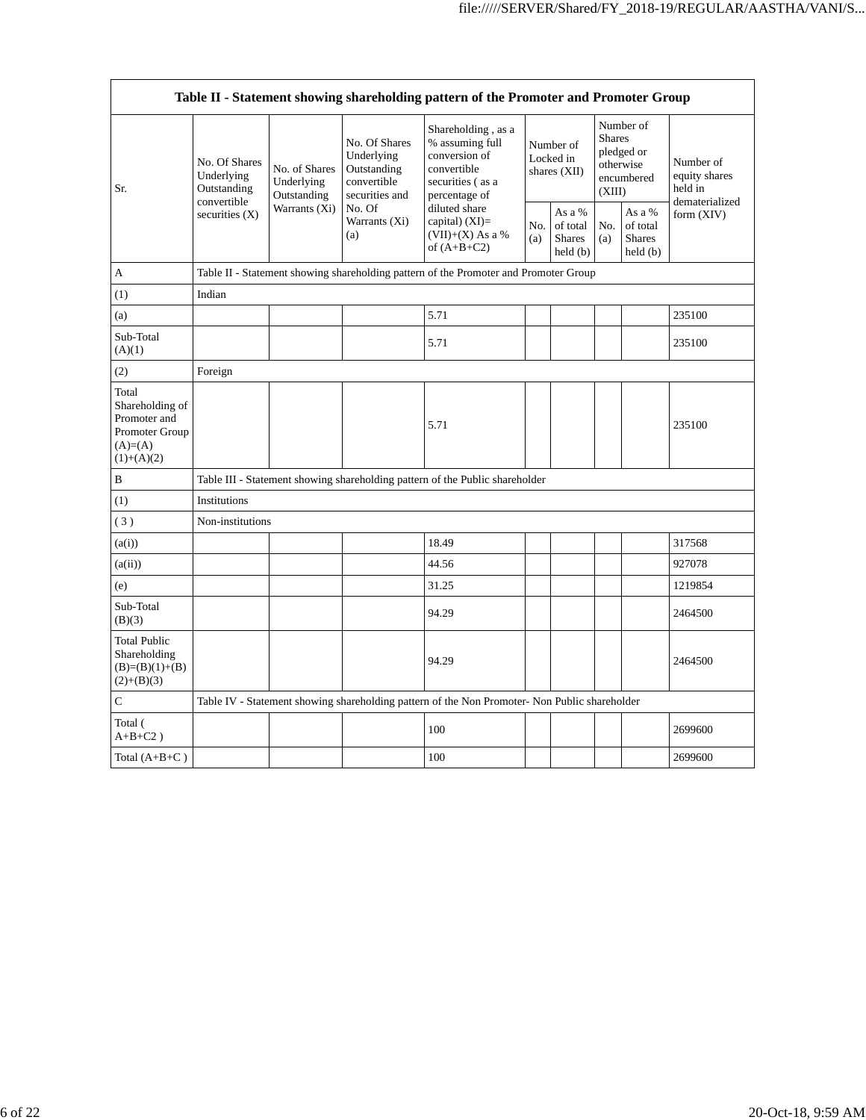| Table II - Statement showing shareholding pattern of the Promoter and Promoter Group     |                                                                             |                                                             |                                                                                                               |                                                                                                                                                                                        |            |                                                                |                                                                               |                                                                   |                                                         |  |  |  |  |
|------------------------------------------------------------------------------------------|-----------------------------------------------------------------------------|-------------------------------------------------------------|---------------------------------------------------------------------------------------------------------------|----------------------------------------------------------------------------------------------------------------------------------------------------------------------------------------|------------|----------------------------------------------------------------|-------------------------------------------------------------------------------|-------------------------------------------------------------------|---------------------------------------------------------|--|--|--|--|
| Sr.                                                                                      | No. Of Shares<br>Underlying<br>Outstanding<br>convertible<br>securities (X) | No. of Shares<br>Underlying<br>Outstanding<br>Warrants (Xi) | No. Of Shares<br>Underlying<br>Outstanding<br>convertible<br>securities and<br>No. Of<br>Warrants (Xi)<br>(a) | Shareholding, as a<br>% assuming full<br>conversion of<br>convertible<br>securities (as a<br>percentage of<br>diluted share<br>capital) $(XI)=$<br>$(VII)+(X)$ As a %<br>of $(A+B+C2)$ |            | Number of<br>Locked in<br>shares (XII)                         | Number of<br><b>Shares</b><br>pledged or<br>otherwise<br>encumbered<br>(XIII) |                                                                   | Number of<br>equity shares<br>held in<br>dematerialized |  |  |  |  |
|                                                                                          |                                                                             |                                                             |                                                                                                               |                                                                                                                                                                                        | No.<br>(a) | As a %<br>of total<br><b>Shares</b><br>$\text{held}(\text{b})$ | No.<br>(a)                                                                    | As a $\%$<br>of total<br><b>Shares</b><br>$\text{held}(\text{b})$ | form (XIV)                                              |  |  |  |  |
| A                                                                                        |                                                                             |                                                             |                                                                                                               | Table II - Statement showing shareholding pattern of the Promoter and Promoter Group                                                                                                   |            |                                                                |                                                                               |                                                                   |                                                         |  |  |  |  |
| (1)                                                                                      | Indian                                                                      |                                                             |                                                                                                               |                                                                                                                                                                                        |            |                                                                |                                                                               |                                                                   |                                                         |  |  |  |  |
| (a)                                                                                      |                                                                             |                                                             |                                                                                                               | 5.71                                                                                                                                                                                   |            |                                                                |                                                                               |                                                                   | 235100                                                  |  |  |  |  |
| Sub-Total<br>(A)(1)                                                                      |                                                                             |                                                             |                                                                                                               | 5.71                                                                                                                                                                                   |            |                                                                |                                                                               |                                                                   | 235100                                                  |  |  |  |  |
| (2)                                                                                      | Foreign                                                                     |                                                             |                                                                                                               |                                                                                                                                                                                        |            |                                                                |                                                                               |                                                                   |                                                         |  |  |  |  |
| Total<br>Shareholding of<br>Promoter and<br>Promoter Group<br>$(A)= (A)$<br>$(1)+(A)(2)$ |                                                                             |                                                             |                                                                                                               | 5.71                                                                                                                                                                                   |            |                                                                |                                                                               |                                                                   | 235100                                                  |  |  |  |  |
| $\, {\bf B}$                                                                             |                                                                             |                                                             |                                                                                                               | Table III - Statement showing shareholding pattern of the Public shareholder                                                                                                           |            |                                                                |                                                                               |                                                                   |                                                         |  |  |  |  |
| (1)                                                                                      | Institutions                                                                |                                                             |                                                                                                               |                                                                                                                                                                                        |            |                                                                |                                                                               |                                                                   |                                                         |  |  |  |  |
| (3)                                                                                      | Non-institutions                                                            |                                                             |                                                                                                               |                                                                                                                                                                                        |            |                                                                |                                                                               |                                                                   |                                                         |  |  |  |  |
| (a(i))                                                                                   |                                                                             |                                                             |                                                                                                               | 18.49                                                                                                                                                                                  |            |                                                                |                                                                               |                                                                   | 317568                                                  |  |  |  |  |
| (a(ii))                                                                                  |                                                                             |                                                             |                                                                                                               | 44.56                                                                                                                                                                                  |            |                                                                |                                                                               |                                                                   | 927078                                                  |  |  |  |  |
| (e)                                                                                      |                                                                             |                                                             |                                                                                                               | 31.25                                                                                                                                                                                  |            |                                                                |                                                                               |                                                                   | 1219854                                                 |  |  |  |  |
| Sub-Total<br>(B)(3)                                                                      |                                                                             |                                                             |                                                                                                               | 94.29                                                                                                                                                                                  |            |                                                                |                                                                               |                                                                   | 2464500                                                 |  |  |  |  |
| <b>Total Public</b><br>Shareholding<br>$(B)=(B)(1)+(B)$<br>$(2)+(B)(3)$                  |                                                                             |                                                             |                                                                                                               | 94.29                                                                                                                                                                                  |            |                                                                |                                                                               |                                                                   | 2464500                                                 |  |  |  |  |
| С                                                                                        |                                                                             |                                                             |                                                                                                               | Table IV - Statement showing shareholding pattern of the Non Promoter- Non Public shareholder                                                                                          |            |                                                                |                                                                               |                                                                   |                                                         |  |  |  |  |
| Total (<br>$A+B+C2$ )                                                                    |                                                                             |                                                             |                                                                                                               | 100                                                                                                                                                                                    |            |                                                                |                                                                               |                                                                   | 2699600                                                 |  |  |  |  |
| Total $(A+B+C)$                                                                          |                                                                             |                                                             |                                                                                                               | 100                                                                                                                                                                                    |            |                                                                |                                                                               |                                                                   | 2699600                                                 |  |  |  |  |

 $\mathsf{r}$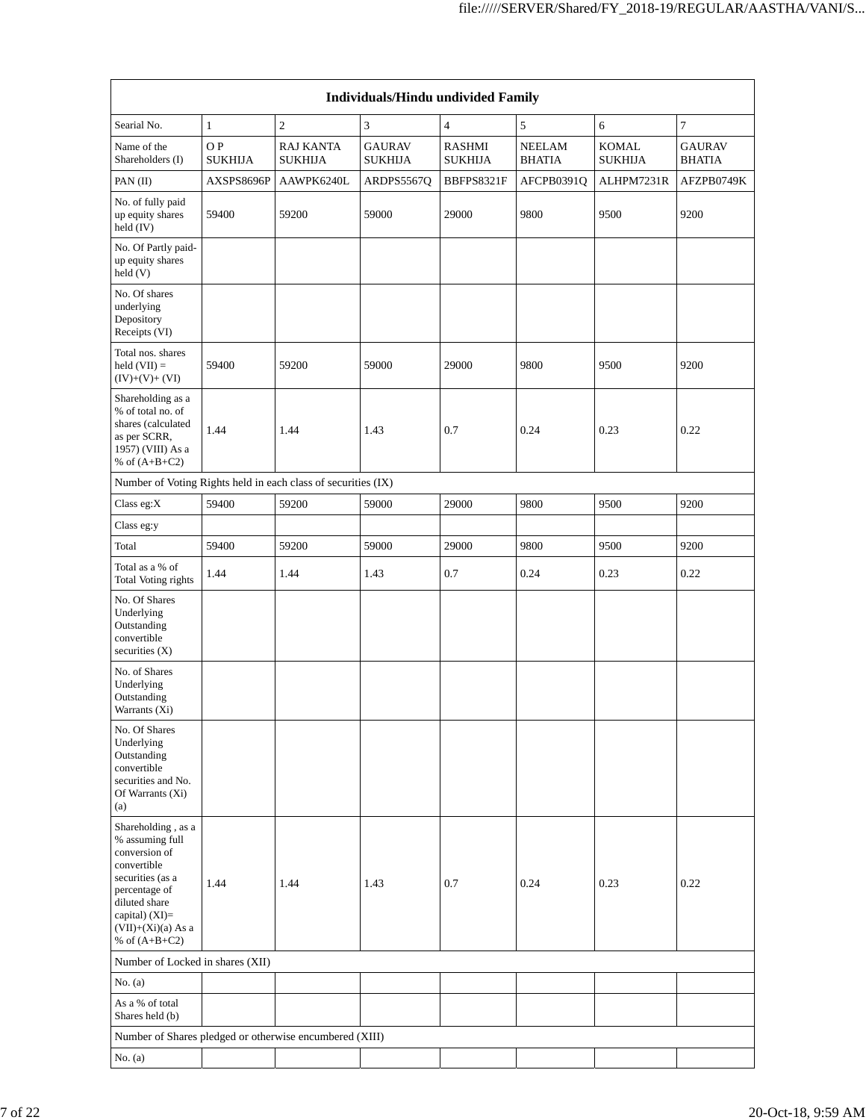| <b>Individuals/Hindu undivided Family</b>                                                                                                                                                  |                      |                                    |                                 |                                 |                                |                                |                                |  |  |  |  |
|--------------------------------------------------------------------------------------------------------------------------------------------------------------------------------------------|----------------------|------------------------------------|---------------------------------|---------------------------------|--------------------------------|--------------------------------|--------------------------------|--|--|--|--|
| Searial No.                                                                                                                                                                                | $\mathbf{1}$         | $\sqrt{2}$                         | 3                               | $\overline{4}$                  | 5                              | 6                              | $\tau$                         |  |  |  |  |
| Name of the<br>Shareholders (I)                                                                                                                                                            | OP<br><b>SUKHIJA</b> | <b>RAJ KANTA</b><br><b>SUKHIJA</b> | <b>GAURAV</b><br><b>SUKHIJA</b> | <b>RASHMI</b><br><b>SUKHIJA</b> | <b>NEELAM</b><br><b>BHATIA</b> | <b>KOMAL</b><br><b>SUKHIJA</b> | <b>GAURAV</b><br><b>BHATIA</b> |  |  |  |  |
| PAN(II)                                                                                                                                                                                    | AXSPS8696P           | AAWPK6240L                         | ARDPS5567Q                      | BBFPS8321F                      | AFCPB0391Q                     | ALHPM7231R                     | AFZPB0749K                     |  |  |  |  |
| No. of fully paid<br>up equity shares<br>held (IV)                                                                                                                                         | 59400                | 59200                              | 59000                           | 29000                           | 9800                           | 9500                           | 9200                           |  |  |  |  |
| No. Of Partly paid-<br>up equity shares<br>held (V)                                                                                                                                        |                      |                                    |                                 |                                 |                                |                                |                                |  |  |  |  |
| No. Of shares<br>underlying<br>Depository<br>Receipts (VI)                                                                                                                                 |                      |                                    |                                 |                                 |                                |                                |                                |  |  |  |  |
| Total nos. shares<br>held $(VII) =$<br>$(IV)+(V)+(VI)$                                                                                                                                     | 59400                | 59200                              | 59000                           | 29000                           | 9800                           | 9500                           | 9200                           |  |  |  |  |
| Shareholding as a<br>% of total no. of<br>shares (calculated<br>as per SCRR,<br>1957) (VIII) As a<br>% of $(A+B+C2)$                                                                       | 1.44                 | 1.44                               | 1.43                            | 0.7                             | 0.24                           | 0.23                           | 0.22                           |  |  |  |  |
| Number of Voting Rights held in each class of securities (IX)                                                                                                                              |                      |                                    |                                 |                                 |                                |                                |                                |  |  |  |  |
| Class eg:X                                                                                                                                                                                 | 59400                | 59200                              | 59000                           | 29000                           | 9800                           | 9500                           | 9200                           |  |  |  |  |
| Class eg:y                                                                                                                                                                                 |                      |                                    |                                 |                                 |                                |                                |                                |  |  |  |  |
| Total                                                                                                                                                                                      | 59400                | 59200                              | 59000                           | 29000                           | 9800                           | 9500                           | 9200                           |  |  |  |  |
| Total as a % of<br><b>Total Voting rights</b>                                                                                                                                              | 1.44                 | 1.44                               | 1.43                            | 0.7                             | 0.24                           | 0.23                           | 0.22                           |  |  |  |  |
| No. Of Shares<br>Underlying<br>Outstanding<br>convertible<br>securities $(X)$                                                                                                              |                      |                                    |                                 |                                 |                                |                                |                                |  |  |  |  |
| No. of Shares<br>Underlying<br>Outstanding<br>Warrants (Xi)                                                                                                                                |                      |                                    |                                 |                                 |                                |                                |                                |  |  |  |  |
| No. Of Shares<br>Underlying<br>Outstanding<br>convertible<br>securities and No.<br>Of Warrants (Xi)<br>(a)                                                                                 |                      |                                    |                                 |                                 |                                |                                |                                |  |  |  |  |
| Shareholding, as a<br>% assuming full<br>conversion of<br>convertible<br>securities (as a<br>percentage of<br>diluted share<br>capital) $(XI)=$<br>$(VII)+(Xi)(a)$ As a<br>% of $(A+B+C2)$ | 1.44                 | 1.44                               | 1.43                            | 0.7                             | 0.24                           | 0.23                           | 0.22                           |  |  |  |  |
| Number of Locked in shares (XII)                                                                                                                                                           |                      |                                    |                                 |                                 |                                |                                |                                |  |  |  |  |
| No. (a)                                                                                                                                                                                    |                      |                                    |                                 |                                 |                                |                                |                                |  |  |  |  |
| As a % of total<br>Shares held (b)                                                                                                                                                         |                      |                                    |                                 |                                 |                                |                                |                                |  |  |  |  |
| Number of Shares pledged or otherwise encumbered (XIII)                                                                                                                                    |                      |                                    |                                 |                                 |                                |                                |                                |  |  |  |  |
| No. (a)                                                                                                                                                                                    |                      |                                    |                                 |                                 |                                |                                |                                |  |  |  |  |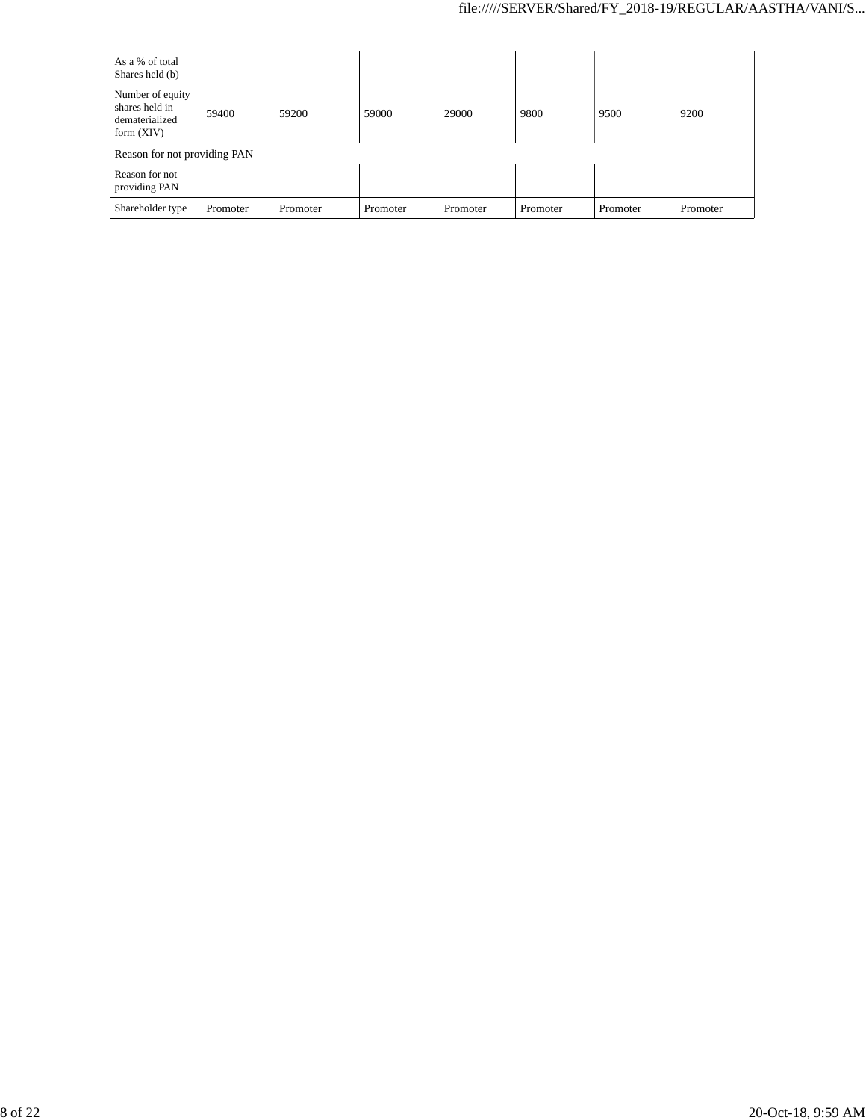| As a % of total<br>Shares held (b)                                   |          |          |          |          |          |          |          |  |  |
|----------------------------------------------------------------------|----------|----------|----------|----------|----------|----------|----------|--|--|
| Number of equity<br>shares held in<br>dematerialized<br>form $(XIV)$ | 59400    | 59200    | 59000    | 29000    | 9800     | 9500     | 9200     |  |  |
| Reason for not providing PAN                                         |          |          |          |          |          |          |          |  |  |
| Reason for not<br>providing PAN                                      |          |          |          |          |          |          |          |  |  |
| Shareholder type                                                     | Promoter | Promoter | Promoter | Promoter | Promoter | Promoter | Promoter |  |  |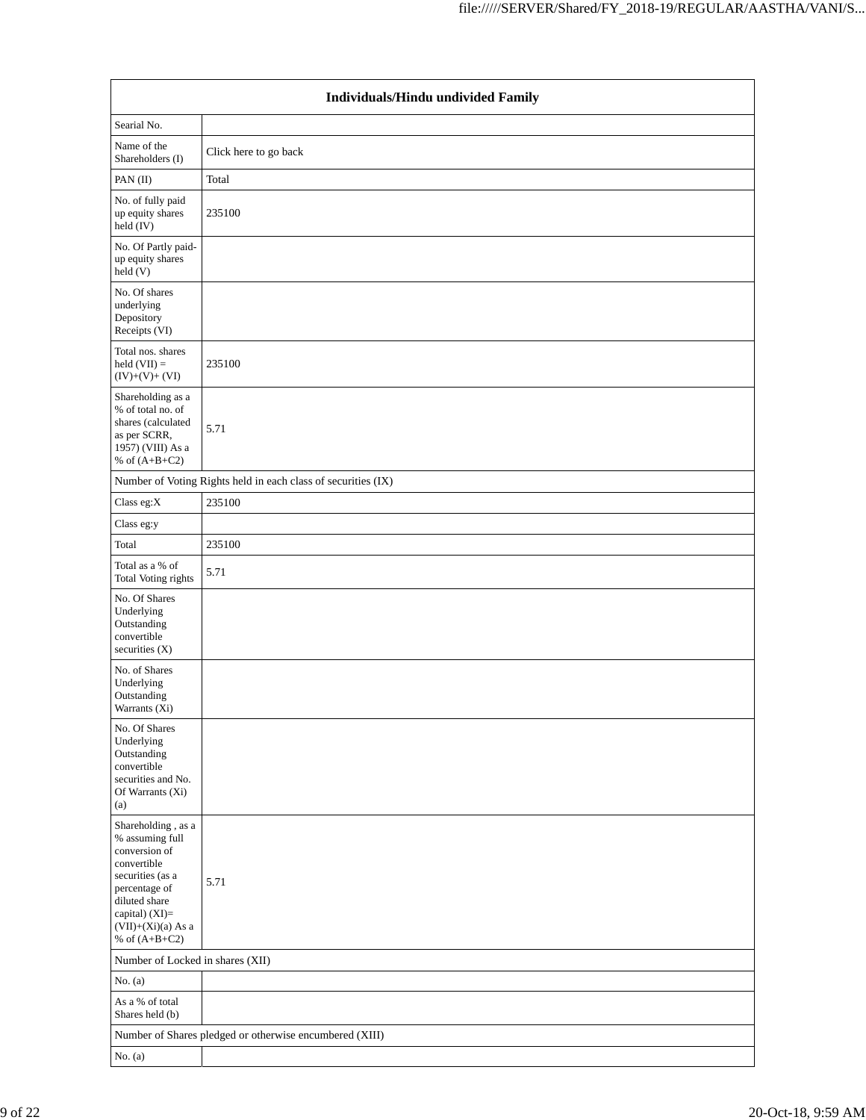|                                                                                                                                                                                          | Individuals/Hindu undivided Family                            |  |  |  |  |  |  |  |  |  |  |
|------------------------------------------------------------------------------------------------------------------------------------------------------------------------------------------|---------------------------------------------------------------|--|--|--|--|--|--|--|--|--|--|
| Searial No.                                                                                                                                                                              |                                                               |  |  |  |  |  |  |  |  |  |  |
| Name of the<br>Shareholders (I)                                                                                                                                                          | Click here to go back                                         |  |  |  |  |  |  |  |  |  |  |
| PAN(II)                                                                                                                                                                                  | Total                                                         |  |  |  |  |  |  |  |  |  |  |
| No. of fully paid<br>up equity shares<br>held (IV)                                                                                                                                       | 235100                                                        |  |  |  |  |  |  |  |  |  |  |
| No. Of Partly paid-<br>up equity shares<br>held(V)                                                                                                                                       |                                                               |  |  |  |  |  |  |  |  |  |  |
| No. Of shares<br>underlying<br>Depository<br>Receipts (VI)                                                                                                                               |                                                               |  |  |  |  |  |  |  |  |  |  |
| Total nos. shares<br>held $(VII) =$<br>$(IV)+(V)+(VI)$                                                                                                                                   | 235100                                                        |  |  |  |  |  |  |  |  |  |  |
| Shareholding as a<br>% of total no. of<br>shares (calculated<br>as per SCRR,<br>1957) (VIII) As a<br>% of $(A+B+C2)$                                                                     | 5.71                                                          |  |  |  |  |  |  |  |  |  |  |
|                                                                                                                                                                                          | Number of Voting Rights held in each class of securities (IX) |  |  |  |  |  |  |  |  |  |  |
| Class eg:X                                                                                                                                                                               | 235100                                                        |  |  |  |  |  |  |  |  |  |  |
| Class eg:y                                                                                                                                                                               |                                                               |  |  |  |  |  |  |  |  |  |  |
| Total                                                                                                                                                                                    | 235100                                                        |  |  |  |  |  |  |  |  |  |  |
| Total as a % of<br><b>Total Voting rights</b>                                                                                                                                            | 5.71                                                          |  |  |  |  |  |  |  |  |  |  |
| No. Of Shares<br>Underlying<br>Outstanding<br>convertible<br>securities $(X)$                                                                                                            |                                                               |  |  |  |  |  |  |  |  |  |  |
| No. of Shares<br>Underlying<br>Outstanding<br>Warrants (Xi)                                                                                                                              |                                                               |  |  |  |  |  |  |  |  |  |  |
| No. Of Shares<br>Underlying<br>Outstanding<br>convertible<br>securities and No.<br>Of Warrants (Xi)<br>(a)                                                                               |                                                               |  |  |  |  |  |  |  |  |  |  |
| Shareholding, as a<br>% assuming full<br>conversion of<br>convertible<br>securities (as a<br>percentage of<br>diluted share<br>capital) (XI)=<br>$(VII)+(Xi)(a) As a$<br>% of $(A+B+C2)$ | 5.71                                                          |  |  |  |  |  |  |  |  |  |  |
| Number of Locked in shares (XII)                                                                                                                                                         |                                                               |  |  |  |  |  |  |  |  |  |  |
| No. $(a)$                                                                                                                                                                                |                                                               |  |  |  |  |  |  |  |  |  |  |
| As a % of total<br>Shares held (b)                                                                                                                                                       |                                                               |  |  |  |  |  |  |  |  |  |  |
|                                                                                                                                                                                          | Number of Shares pledged or otherwise encumbered (XIII)       |  |  |  |  |  |  |  |  |  |  |
| No. $(a)$                                                                                                                                                                                |                                                               |  |  |  |  |  |  |  |  |  |  |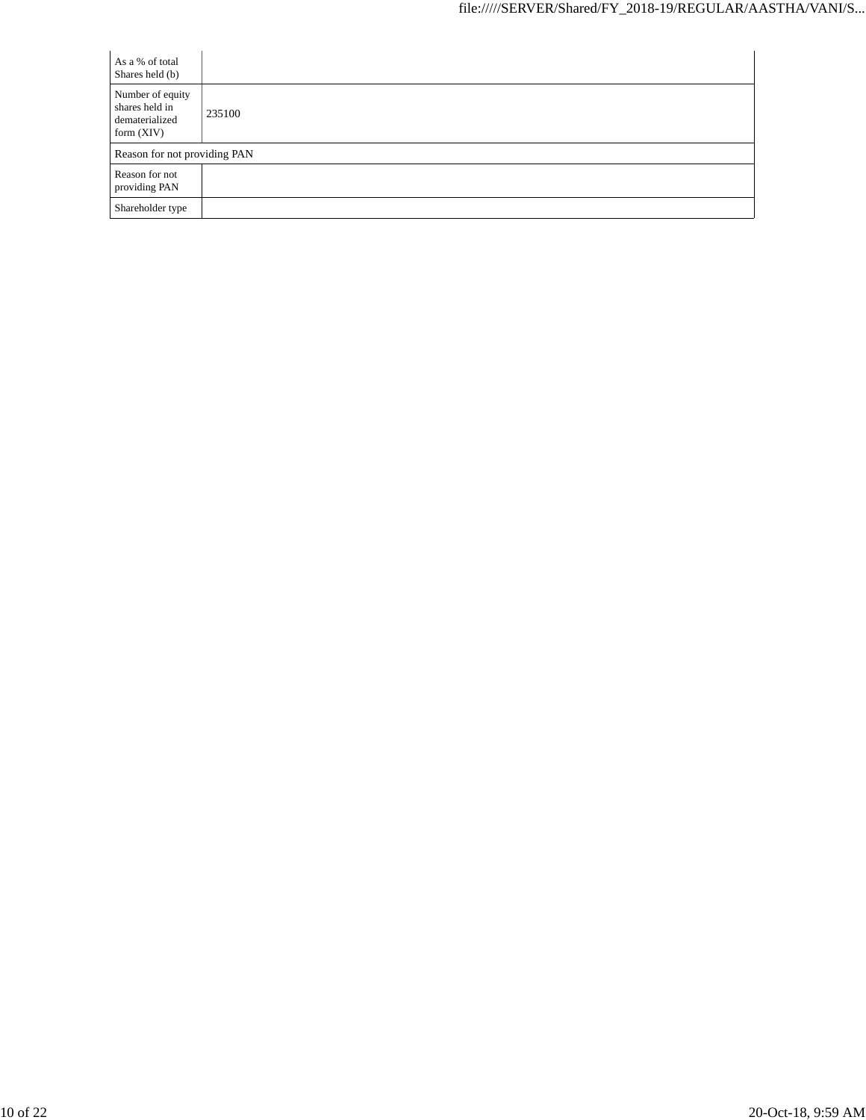| As a % of total<br>Shares held (b)                                   |                              |  |  |  |  |  |  |  |  |
|----------------------------------------------------------------------|------------------------------|--|--|--|--|--|--|--|--|
| Number of equity<br>shares held in<br>dematerialized<br>form $(XIV)$ | 235100                       |  |  |  |  |  |  |  |  |
|                                                                      | Reason for not providing PAN |  |  |  |  |  |  |  |  |
| Reason for not<br>providing PAN                                      |                              |  |  |  |  |  |  |  |  |
| Shareholder type                                                     |                              |  |  |  |  |  |  |  |  |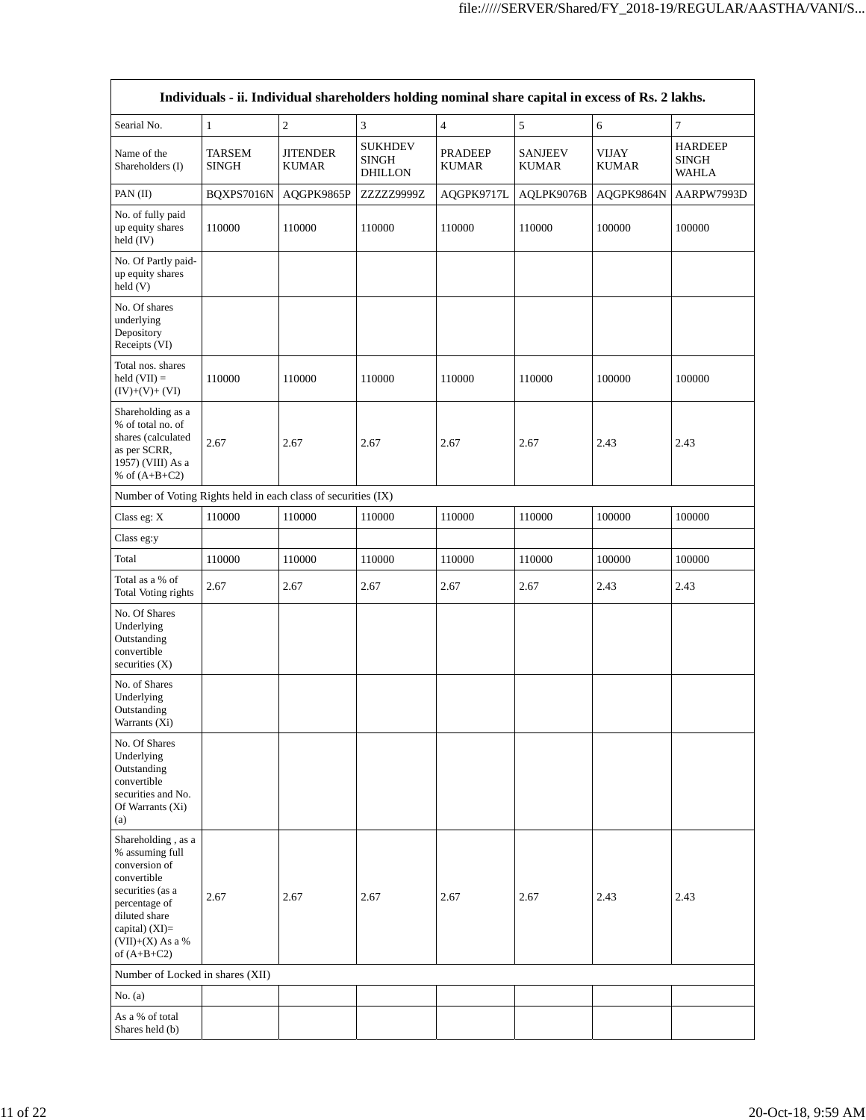|                                                                                                                                                                                        |                               |                                 | Individuals - ii. Individual shareholders holding nominal share capital in excess of Rs. 2 lakhs. |                         |                                |                              |                                                |
|----------------------------------------------------------------------------------------------------------------------------------------------------------------------------------------|-------------------------------|---------------------------------|---------------------------------------------------------------------------------------------------|-------------------------|--------------------------------|------------------------------|------------------------------------------------|
| Searial No.                                                                                                                                                                            | $\mathbf{1}$                  | $\overline{\mathbf{c}}$         | 3                                                                                                 | $\overline{4}$          | 5                              | 6                            | $\overline{7}$                                 |
| Name of the<br>Shareholders (I)                                                                                                                                                        | <b>TARSEM</b><br><b>SINGH</b> | <b>JITENDER</b><br><b>KUMAR</b> | <b>SUKHDEV</b><br><b>SINGH</b><br><b>DHILLON</b>                                                  | PRADEEP<br><b>KUMAR</b> | <b>SANJEEV</b><br><b>KUMAR</b> | <b>VIJAY</b><br><b>KUMAR</b> | <b>HARDEEP</b><br><b>SINGH</b><br><b>WAHLA</b> |
| PAN(II)                                                                                                                                                                                | BQXPS7016N                    | AQGPK9865P                      | ZZZZZ9999Z                                                                                        | AQGPK9717L              | AQLPK9076B                     | AQGPK9864N                   | AARPW7993D                                     |
| No. of fully paid<br>up equity shares<br>held $(IV)$                                                                                                                                   | 110000                        | 110000                          | 110000                                                                                            | 110000                  | 110000                         | 100000                       | 100000                                         |
| No. Of Partly paid-<br>up equity shares<br>held(V)                                                                                                                                     |                               |                                 |                                                                                                   |                         |                                |                              |                                                |
| No. Of shares<br>underlying<br>Depository<br>Receipts (VI)                                                                                                                             |                               |                                 |                                                                                                   |                         |                                |                              |                                                |
| Total nos. shares<br>held $(VII) =$<br>$(IV)+(V)+(VI)$                                                                                                                                 | 110000                        | 110000                          | 110000                                                                                            | 110000                  | 110000                         | 100000                       | 100000                                         |
| Shareholding as a<br>% of total no. of<br>shares (calculated<br>as per SCRR,<br>1957) (VIII) As a<br>% of $(A+B+C2)$                                                                   | 2.67                          | 2.67                            | 2.67                                                                                              | 2.67                    | 2.67                           | 2.43                         | 2.43                                           |
| Number of Voting Rights held in each class of securities (IX)                                                                                                                          |                               |                                 |                                                                                                   |                         |                                |                              |                                                |
| Class eg: X                                                                                                                                                                            | 110000                        | 110000                          | 110000                                                                                            | 110000                  | 110000                         | 100000                       | 100000                                         |
| Class eg:y                                                                                                                                                                             |                               |                                 |                                                                                                   |                         |                                |                              |                                                |
| Total                                                                                                                                                                                  | 110000                        | 110000                          | 110000                                                                                            | 110000                  | 110000                         | 100000                       | 100000                                         |
| Total as a % of<br><b>Total Voting rights</b>                                                                                                                                          | 2.67                          | 2.67                            | 2.67                                                                                              | 2.67                    | 2.67                           | 2.43                         | 2.43                                           |
| No. Of Shares<br>Underlying<br>Outstanding<br>convertible<br>securities $(X)$                                                                                                          |                               |                                 |                                                                                                   |                         |                                |                              |                                                |
| No. of Shares<br>Underlying<br>Outstanding<br>Warrants (Xi)                                                                                                                            |                               |                                 |                                                                                                   |                         |                                |                              |                                                |
| No. Of Shares<br>Underlying<br>Outstanding<br>convertible<br>securities and No.<br>Of Warrants (Xi)<br>(a)                                                                             |                               |                                 |                                                                                                   |                         |                                |                              |                                                |
| Shareholding, as a<br>% assuming full<br>conversion of<br>convertible<br>securities (as a<br>percentage of<br>diluted share<br>capital) $(XI)=$<br>$(VII)+(X)$ As a %<br>of $(A+B+C2)$ | 2.67                          | 2.67                            | 2.67                                                                                              | 2.67                    | 2.67                           | 2.43                         | 2.43                                           |
| Number of Locked in shares (XII)                                                                                                                                                       |                               |                                 |                                                                                                   |                         |                                |                              |                                                |
| No. (a)                                                                                                                                                                                |                               |                                 |                                                                                                   |                         |                                |                              |                                                |
| As a % of total<br>Shares held (b)                                                                                                                                                     |                               |                                 |                                                                                                   |                         |                                |                              |                                                |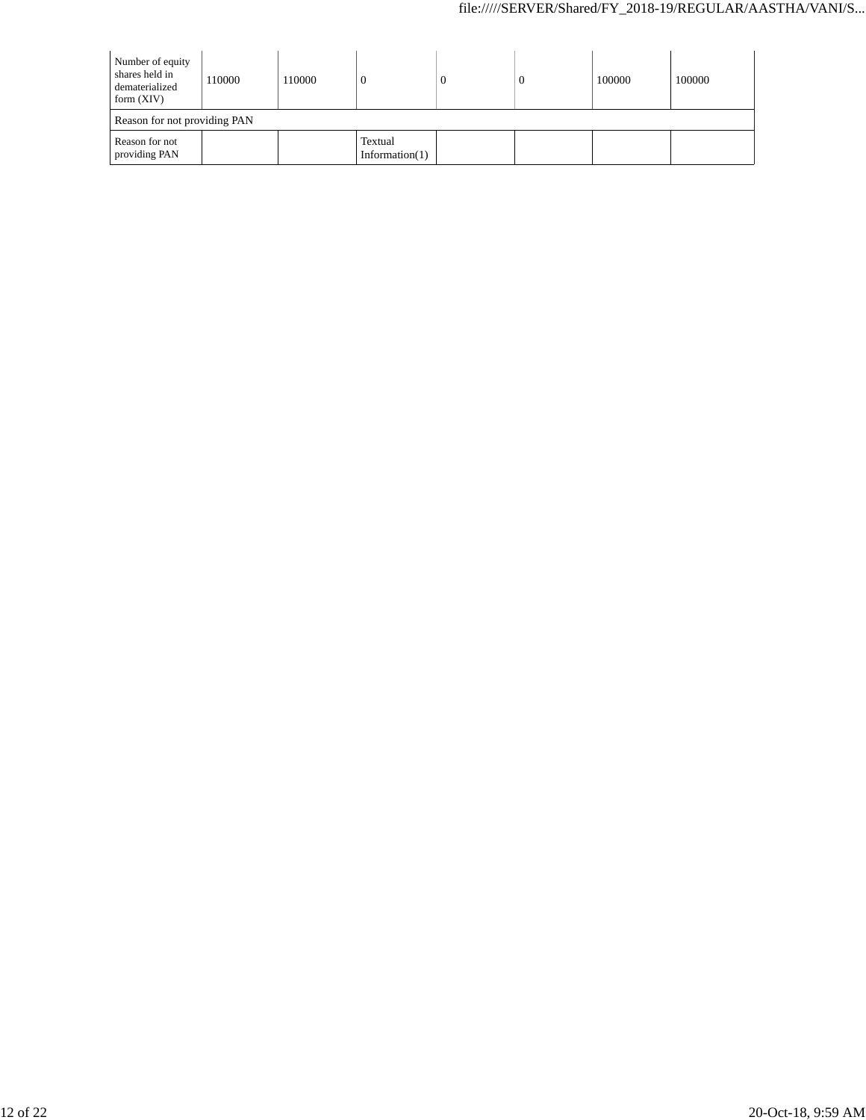| Number of equity<br>shares held in<br>dematerialized<br>form $(XIV)$ | 110000 | 110000 | 0                            | $\theta$ | $\overline{0}$ | 100000 | 100000 |  |  |  |
|----------------------------------------------------------------------|--------|--------|------------------------------|----------|----------------|--------|--------|--|--|--|
| Reason for not providing PAN                                         |        |        |                              |          |                |        |        |  |  |  |
| Reason for not<br>providing PAN                                      |        |        | Textual<br>Information $(1)$ |          |                |        |        |  |  |  |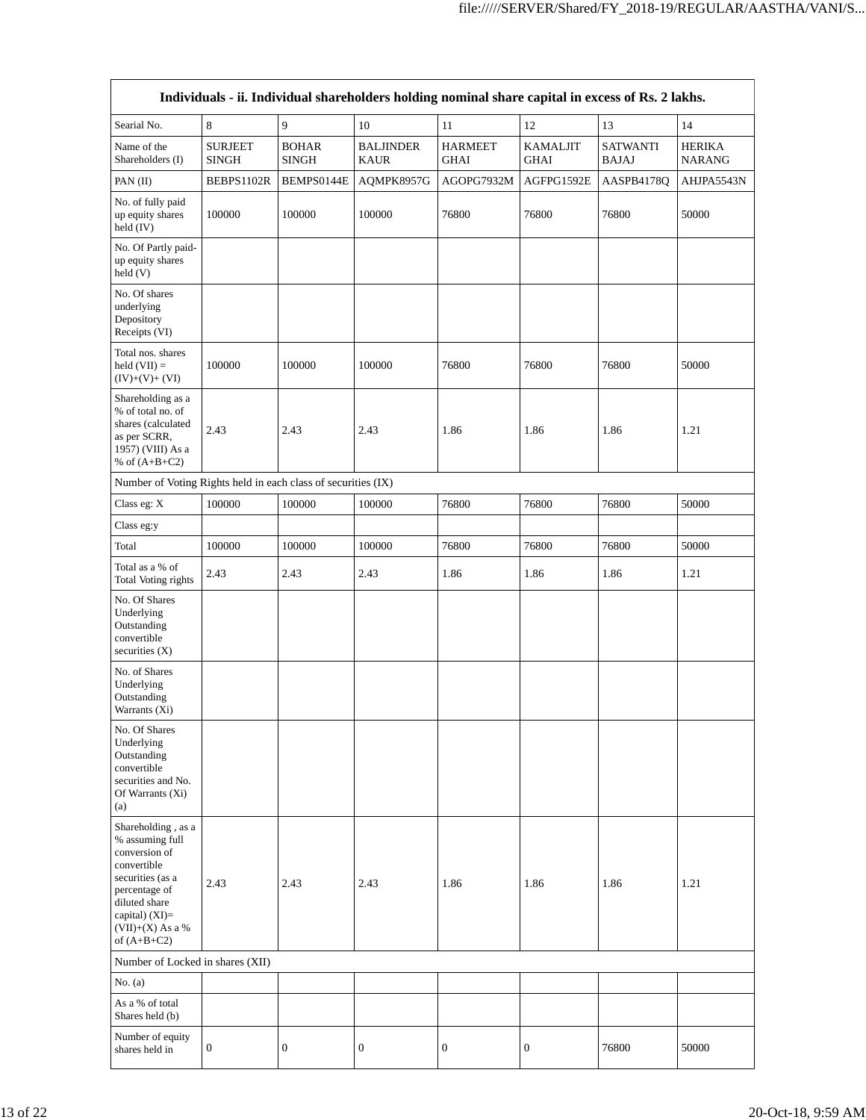|                                                                                                                                                                                      |                                |                              | Individuals - ii. Individual shareholders holding nominal share capital in excess of Rs. 2 lakhs. |                               |                                |                                 |                                |
|--------------------------------------------------------------------------------------------------------------------------------------------------------------------------------------|--------------------------------|------------------------------|---------------------------------------------------------------------------------------------------|-------------------------------|--------------------------------|---------------------------------|--------------------------------|
| Searial No.                                                                                                                                                                          | 8                              | 9                            | 10                                                                                                | 11                            | 12                             | 13                              | 14                             |
| Name of the<br>Shareholders (I)                                                                                                                                                      | <b>SURJEET</b><br><b>SINGH</b> | <b>BOHAR</b><br><b>SINGH</b> | <b>BALJINDER</b><br><b>KAUR</b>                                                                   | <b>HARMEET</b><br><b>GHAI</b> | <b>KAMALJIT</b><br><b>GHAI</b> | <b>SATWANTI</b><br><b>BAJAJ</b> | <b>HERIKA</b><br><b>NARANG</b> |
| PAN(II)                                                                                                                                                                              | BEBPS1102R                     | BEMPS0144E                   | AQMPK8957G                                                                                        | AGOPG7932M                    | AGFPG1592E                     | AASPB4178Q                      | AHJPA5543N                     |
| No. of fully paid<br>up equity shares<br>held $(IV)$                                                                                                                                 | 100000                         | 100000                       | 100000                                                                                            | 76800                         | 76800                          | 76800                           | 50000                          |
| No. Of Partly paid-<br>up equity shares<br>held(V)                                                                                                                                   |                                |                              |                                                                                                   |                               |                                |                                 |                                |
| No. Of shares<br>underlying<br>Depository<br>Receipts (VI)                                                                                                                           |                                |                              |                                                                                                   |                               |                                |                                 |                                |
| Total nos. shares<br>held $(VII) =$<br>$(IV)+(V)+(VI)$                                                                                                                               | 100000                         | 100000                       | 100000                                                                                            | 76800                         | 76800                          | 76800                           | 50000                          |
| Shareholding as a<br>% of total no. of<br>shares (calculated<br>as per SCRR,<br>1957) (VIII) As a<br>% of $(A+B+C2)$                                                                 | 2.43                           | 2.43                         | 2.43                                                                                              | 1.86                          | 1.86                           | 1.86                            | 1.21                           |
| Number of Voting Rights held in each class of securities (IX)                                                                                                                        |                                |                              |                                                                                                   |                               |                                |                                 |                                |
| Class eg: X                                                                                                                                                                          | 100000                         | 100000                       | 100000                                                                                            | 76800                         | 76800                          | 76800                           | 50000                          |
| Class eg:y                                                                                                                                                                           |                                |                              |                                                                                                   |                               |                                |                                 |                                |
| Total                                                                                                                                                                                | 100000                         | 100000                       | 100000                                                                                            | 76800                         | 76800                          | 76800                           | 50000                          |
| Total as a % of<br><b>Total Voting rights</b>                                                                                                                                        | 2.43                           | 2.43                         | 2.43                                                                                              | 1.86                          | 1.86                           | 1.86                            | 1.21                           |
| No. Of Shares<br>Underlying<br>Outstanding<br>convertible<br>securities $(X)$                                                                                                        |                                |                              |                                                                                                   |                               |                                |                                 |                                |
| No. of Shares<br>Underlying<br>Outstanding<br>Warrants (Xi)                                                                                                                          |                                |                              |                                                                                                   |                               |                                |                                 |                                |
| No. Of Shares<br>Underlying<br>Outstanding<br>convertible<br>securities and No.<br>Of Warrants (Xi)<br>(a)                                                                           |                                |                              |                                                                                                   |                               |                                |                                 |                                |
| Shareholding, as a<br>% assuming full<br>conversion of<br>convertible<br>securities (as a<br>percentage of<br>diluted share<br>capital) (XI)=<br>$(VII)+(X)$ As a %<br>of $(A+B+C2)$ | 2.43                           | 2.43                         | 2.43                                                                                              | 1.86                          | 1.86                           | 1.86                            | 1.21                           |
| Number of Locked in shares (XII)                                                                                                                                                     |                                |                              |                                                                                                   |                               |                                |                                 |                                |
| No. (a)                                                                                                                                                                              |                                |                              |                                                                                                   |                               |                                |                                 |                                |
| As a % of total<br>Shares held (b)                                                                                                                                                   |                                |                              |                                                                                                   |                               |                                |                                 |                                |
| Number of equity<br>shares held in                                                                                                                                                   | 0                              | $\boldsymbol{0}$             | $\mathbf{0}$                                                                                      | $\boldsymbol{0}$              | $\boldsymbol{0}$               | 76800                           | 50000                          |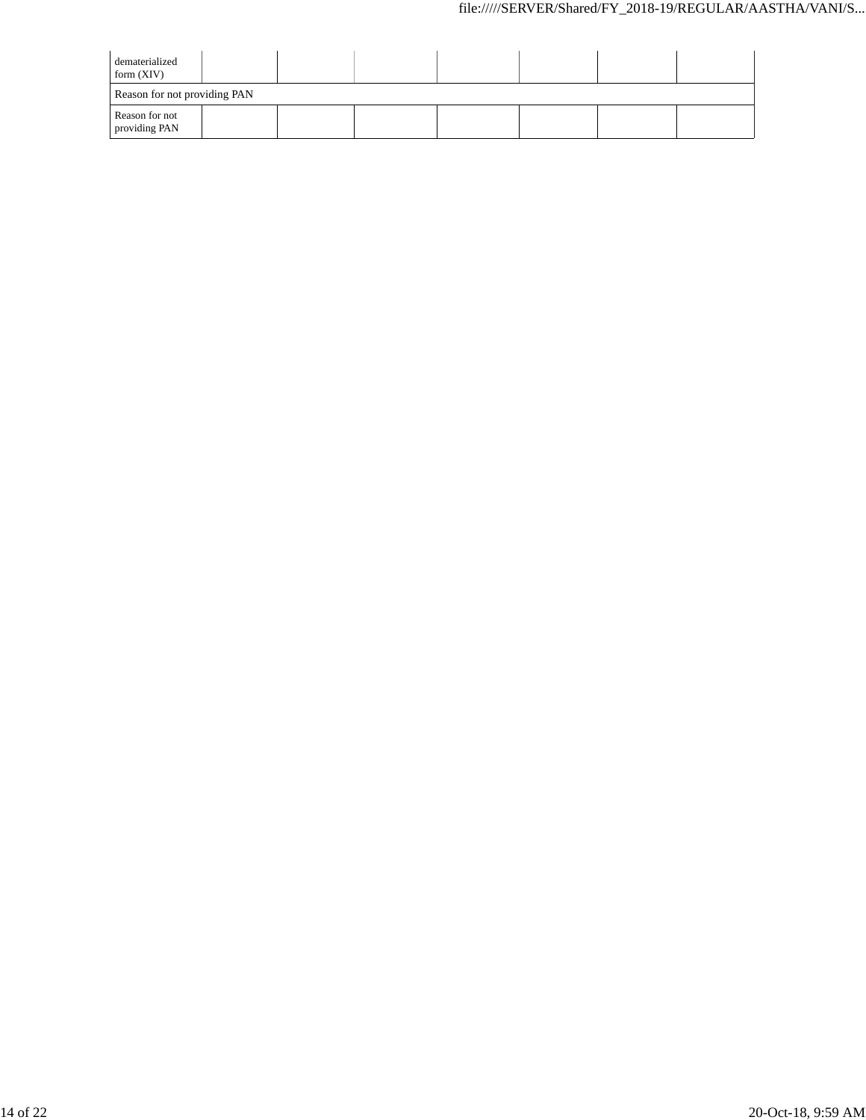| dematerialized<br>form $(XIV)$  |  |  |  |  |
|---------------------------------|--|--|--|--|
| Reason for not providing PAN    |  |  |  |  |
| Reason for not<br>providing PAN |  |  |  |  |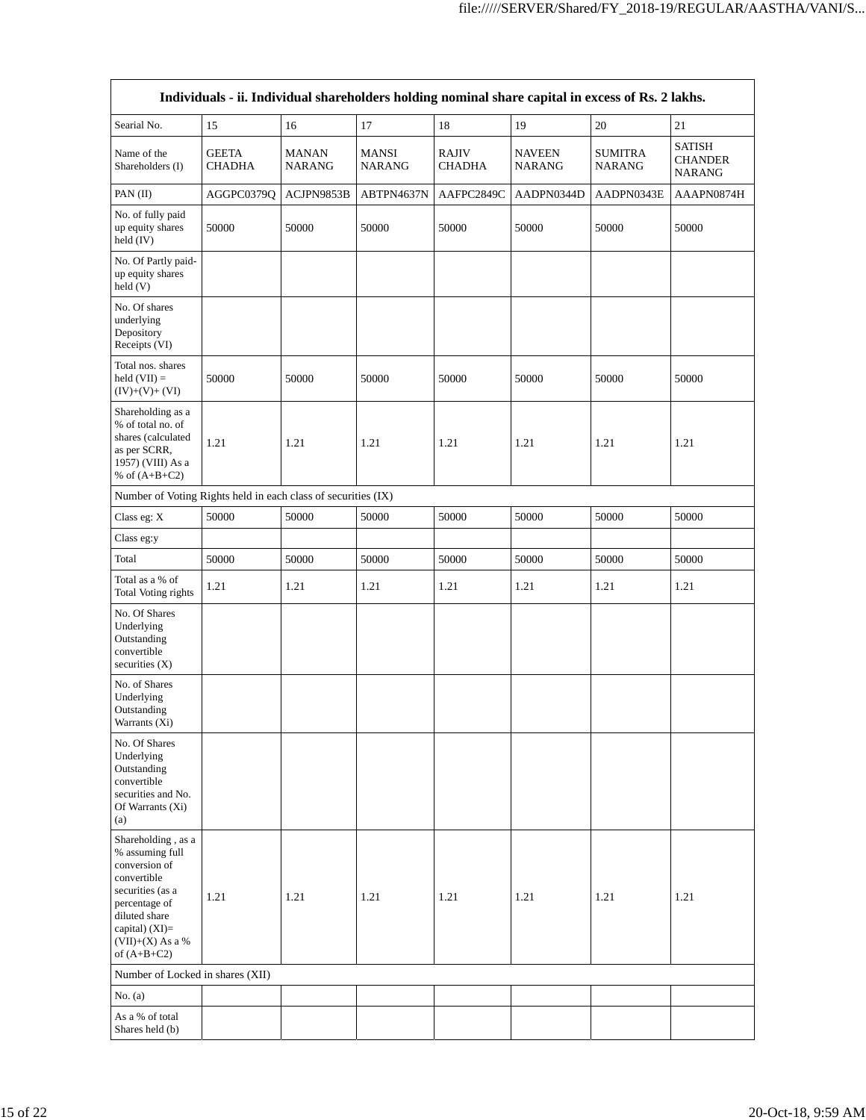| Individuals - ii. Individual shareholders holding nominal share capital in excess of Rs. 2 lakhs.                                                                                      |                               |                               |                               |                               |                                |                                 |                                                  |
|----------------------------------------------------------------------------------------------------------------------------------------------------------------------------------------|-------------------------------|-------------------------------|-------------------------------|-------------------------------|--------------------------------|---------------------------------|--------------------------------------------------|
| Searial No.                                                                                                                                                                            | 15                            | 16                            | 17                            | 18                            | 19                             | 20                              | 21                                               |
| Name of the<br>Shareholders (I)                                                                                                                                                        | <b>GEETA</b><br><b>CHADHA</b> | <b>MANAN</b><br><b>NARANG</b> | <b>MANSI</b><br><b>NARANG</b> | <b>RAJIV</b><br><b>CHADHA</b> | <b>NAVEEN</b><br><b>NARANG</b> | <b>SUMITRA</b><br><b>NARANG</b> | <b>SATISH</b><br><b>CHANDER</b><br><b>NARANG</b> |
| $PAN$ (II)                                                                                                                                                                             | AGGPC0379Q                    | ACJPN9853B                    | ABTPN4637N                    | AAFPC2849C                    | AADPN0344D                     | AADPN0343E                      | AAAPN0874H                                       |
| No. of fully paid<br>up equity shares<br>held (IV)                                                                                                                                     | 50000                         | 50000                         | 50000                         | 50000                         | 50000                          | 50000                           | 50000                                            |
| No. Of Partly paid-<br>up equity shares<br>held (V)                                                                                                                                    |                               |                               |                               |                               |                                |                                 |                                                  |
| No. Of shares<br>underlying<br>Depository<br>Receipts (VI)                                                                                                                             |                               |                               |                               |                               |                                |                                 |                                                  |
| Total nos. shares<br>held $(VII) =$<br>$(IV)+(V)+(VI)$                                                                                                                                 | 50000                         | 50000                         | 50000                         | 50000                         | 50000                          | 50000                           | 50000                                            |
| Shareholding as a<br>% of total no. of<br>shares (calculated<br>as per SCRR,<br>1957) (VIII) As a<br>% of $(A+B+C2)$                                                                   | 1.21                          | 1.21                          | 1.21                          | 1.21                          | 1.21                           | 1.21                            | 1.21                                             |
| Number of Voting Rights held in each class of securities (IX)                                                                                                                          |                               |                               |                               |                               |                                |                                 |                                                  |
| Class eg: X                                                                                                                                                                            | 50000                         | 50000                         | 50000                         | 50000                         | 50000                          | 50000                           | 50000                                            |
| Class eg:y                                                                                                                                                                             |                               |                               |                               |                               |                                |                                 |                                                  |
| Total                                                                                                                                                                                  | 50000                         | 50000                         | 50000                         | 50000                         | 50000                          | 50000                           | 50000                                            |
| Total as a % of<br><b>Total Voting rights</b>                                                                                                                                          | 1.21                          | 1.21                          | 1.21                          | 1.21                          | 1.21                           | 1.21                            | 1.21                                             |
| No. Of Shares<br>Underlying<br>Outstanding<br>convertible<br>securities $(X)$                                                                                                          |                               |                               |                               |                               |                                |                                 |                                                  |
| No. of Shares<br>Underlying<br>Outstanding<br>Warrants (Xi)                                                                                                                            |                               |                               |                               |                               |                                |                                 |                                                  |
| No. Of Shares<br>Underlying<br>Outstanding<br>convertible<br>securities and No.<br>Of Warrants (Xi)<br>(a)                                                                             |                               |                               |                               |                               |                                |                                 |                                                  |
| Shareholding, as a<br>% assuming full<br>conversion of<br>convertible<br>securities (as a<br>percentage of<br>diluted share<br>capital) $(XI)=$<br>$(VII)+(X)$ As a %<br>of $(A+B+C2)$ | 1.21                          | 1.21                          | 1.21                          | 1.21                          | 1.21                           | 1.21                            | 1.21                                             |
| Number of Locked in shares (XII)                                                                                                                                                       |                               |                               |                               |                               |                                |                                 |                                                  |
| No. (a)                                                                                                                                                                                |                               |                               |                               |                               |                                |                                 |                                                  |
| As a % of total<br>Shares held (b)                                                                                                                                                     |                               |                               |                               |                               |                                |                                 |                                                  |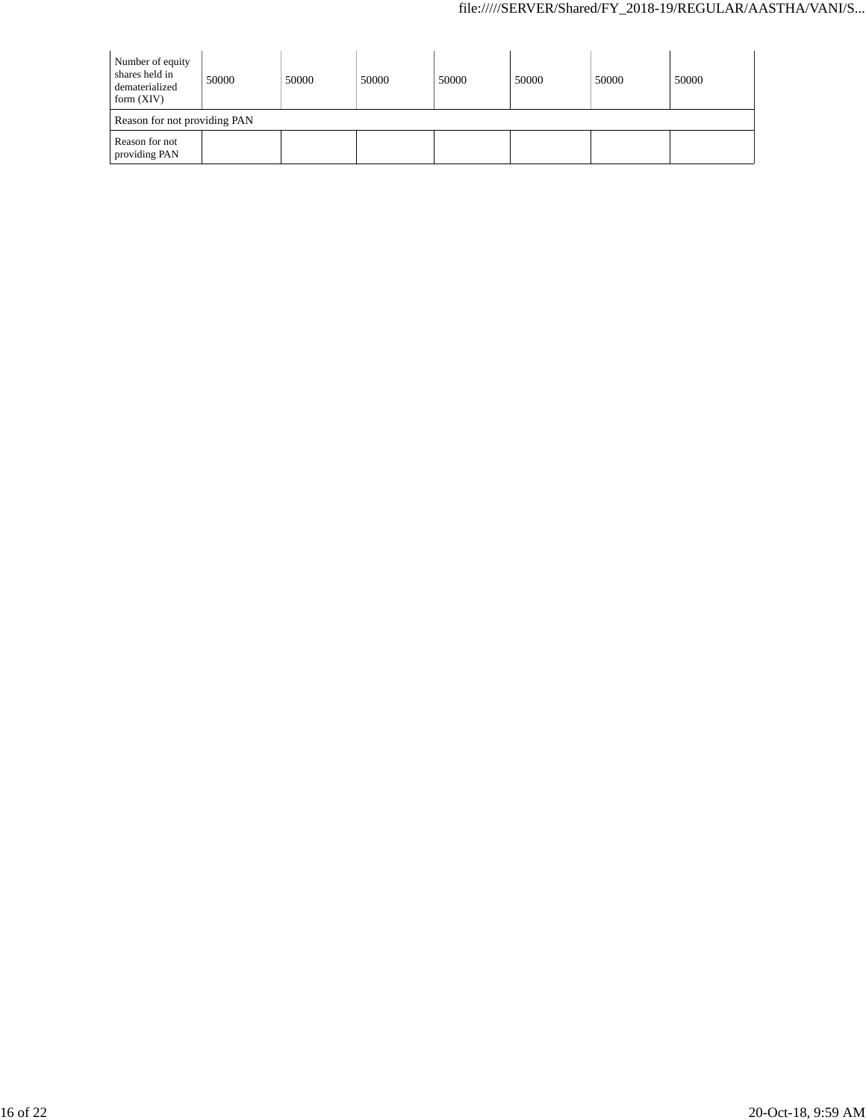| Number of equity<br>shares held in<br>dematerialized<br>form $(XIV)$ | 50000                        | 50000 | 50000 | 50000 | 50000 | 50000 | 50000 |  |
|----------------------------------------------------------------------|------------------------------|-------|-------|-------|-------|-------|-------|--|
|                                                                      | Reason for not providing PAN |       |       |       |       |       |       |  |
| Reason for not<br>providing PAN                                      |                              |       |       |       |       |       |       |  |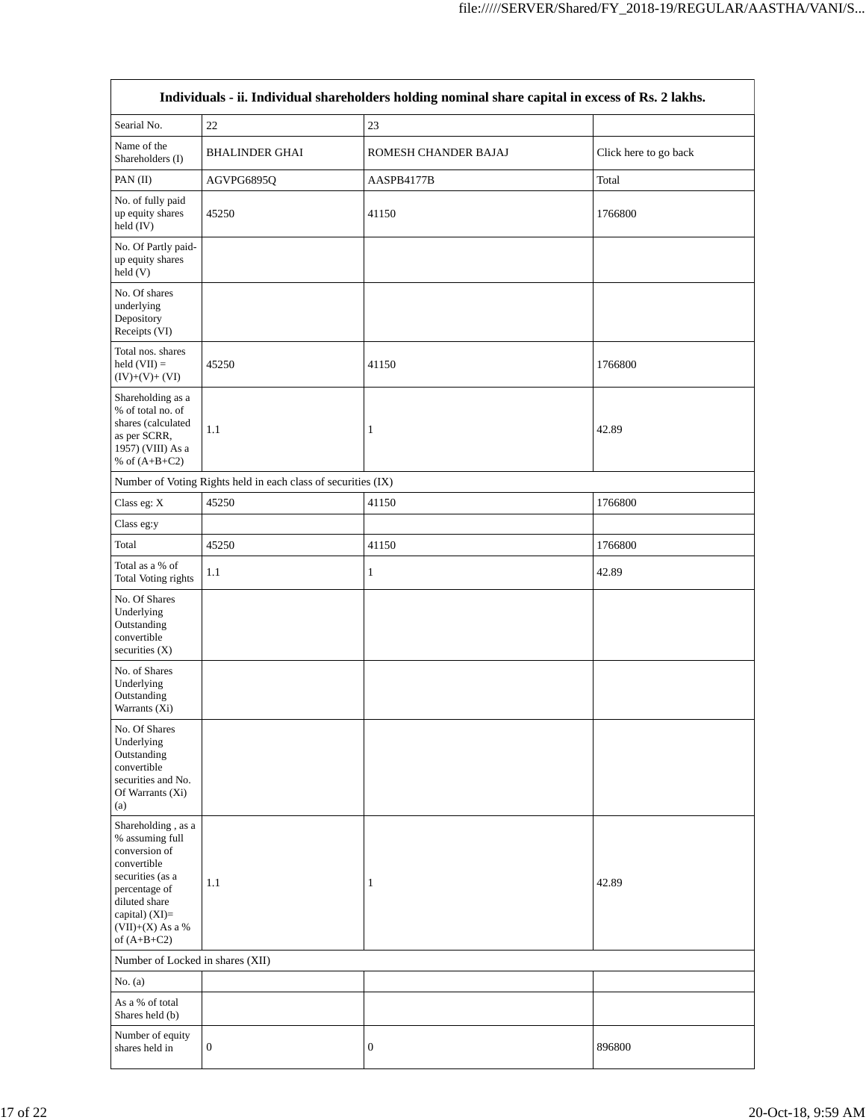| Individuals - ii. Individual shareholders holding nominal share capital in excess of Rs. 2 lakhs.                                                                                    |                                                               |                      |                       |  |  |  |
|--------------------------------------------------------------------------------------------------------------------------------------------------------------------------------------|---------------------------------------------------------------|----------------------|-----------------------|--|--|--|
| Searial No.                                                                                                                                                                          | $22\,$                                                        | 23                   |                       |  |  |  |
| Name of the<br>Shareholders (I)                                                                                                                                                      | <b>BHALINDER GHAI</b>                                         | ROMESH CHANDER BAJAJ | Click here to go back |  |  |  |
| PAN(II)                                                                                                                                                                              | AGVPG6895Q                                                    | AASPB4177B           | Total                 |  |  |  |
| No. of fully paid<br>up equity shares<br>held (IV)                                                                                                                                   | 45250                                                         | 41150                | 1766800               |  |  |  |
| No. Of Partly paid-<br>up equity shares<br>held(V)                                                                                                                                   |                                                               |                      |                       |  |  |  |
| No. Of shares<br>underlying<br>Depository<br>Receipts (VI)                                                                                                                           |                                                               |                      |                       |  |  |  |
| Total nos. shares<br>held $(VII) =$<br>$(IV)+(V)+(VI)$                                                                                                                               | 45250                                                         | 41150                | 1766800               |  |  |  |
| Shareholding as a<br>% of total no. of<br>shares (calculated<br>as per SCRR,<br>1957) (VIII) As a<br>% of $(A+B+C2)$                                                                 | 1.1                                                           | 1                    | 42.89                 |  |  |  |
|                                                                                                                                                                                      | Number of Voting Rights held in each class of securities (IX) |                      |                       |  |  |  |
| Class eg: X                                                                                                                                                                          | 45250                                                         | 41150                | 1766800               |  |  |  |
| Class eg:y                                                                                                                                                                           |                                                               |                      |                       |  |  |  |
| Total                                                                                                                                                                                | 45250                                                         | 41150                | 1766800               |  |  |  |
| Total as a % of<br><b>Total Voting rights</b>                                                                                                                                        | 1.1                                                           | $\mathbf{1}$         | 42.89                 |  |  |  |
| No. Of Shares<br>Underlying<br>Outstanding<br>convertible<br>securities $(X)$                                                                                                        |                                                               |                      |                       |  |  |  |
| No. of Shares<br>Underlying<br>Outstanding<br>Warrants (Xi)                                                                                                                          |                                                               |                      |                       |  |  |  |
| No. Of Shares<br>Underlying<br>Outstanding<br>convertible<br>securities and No.<br>Of Warrants (Xi)<br>(a)                                                                           |                                                               |                      |                       |  |  |  |
| Shareholding, as a<br>% assuming full<br>conversion of<br>convertible<br>securities (as a<br>percentage of<br>diluted share<br>capital) (XI)=<br>$(VII)+(X)$ As a %<br>of $(A+B+C2)$ | 1.1                                                           | 1                    | 42.89                 |  |  |  |
| Number of Locked in shares (XII)                                                                                                                                                     |                                                               |                      |                       |  |  |  |
| No. (a)                                                                                                                                                                              |                                                               |                      |                       |  |  |  |
| As a % of total<br>Shares held (b)                                                                                                                                                   |                                                               |                      |                       |  |  |  |
| Number of equity<br>shares held in                                                                                                                                                   | 0                                                             | $\boldsymbol{0}$     | 896800                |  |  |  |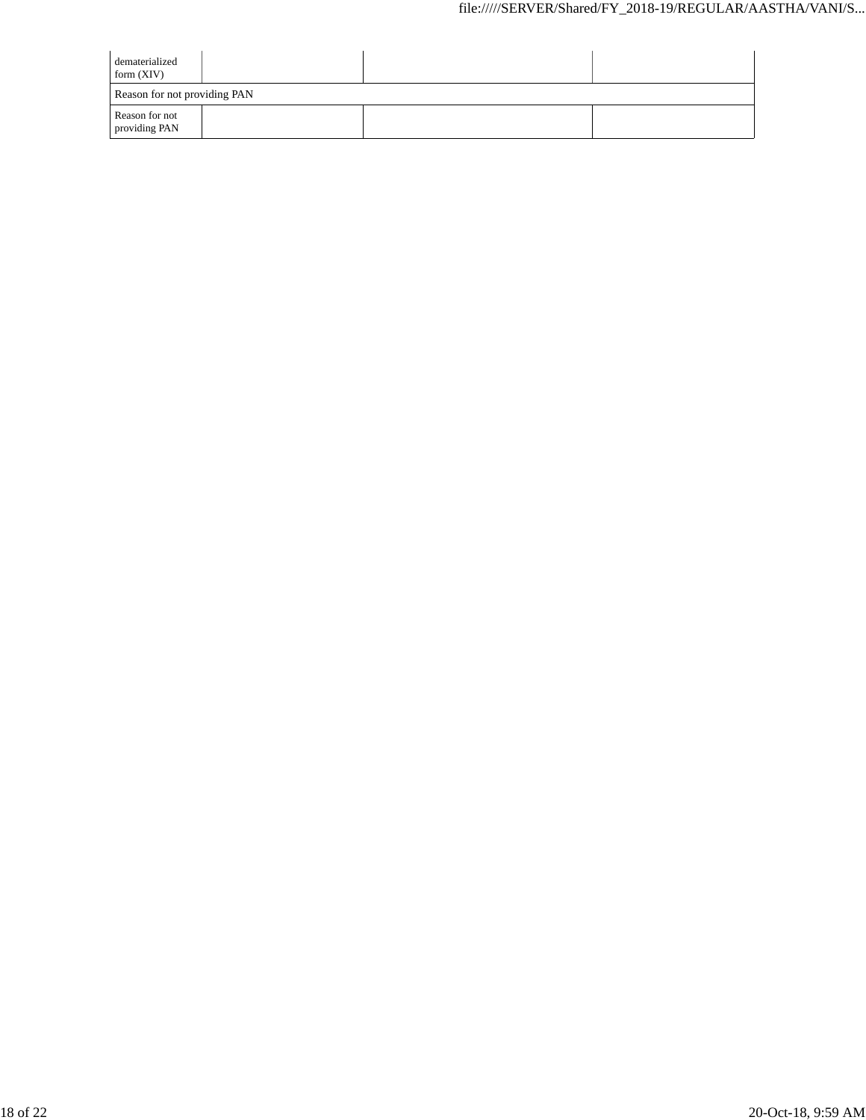| dematerialized<br>form $(XIV)$  |  |  |
|---------------------------------|--|--|
| Reason for not providing PAN    |  |  |
| Reason for not<br>providing PAN |  |  |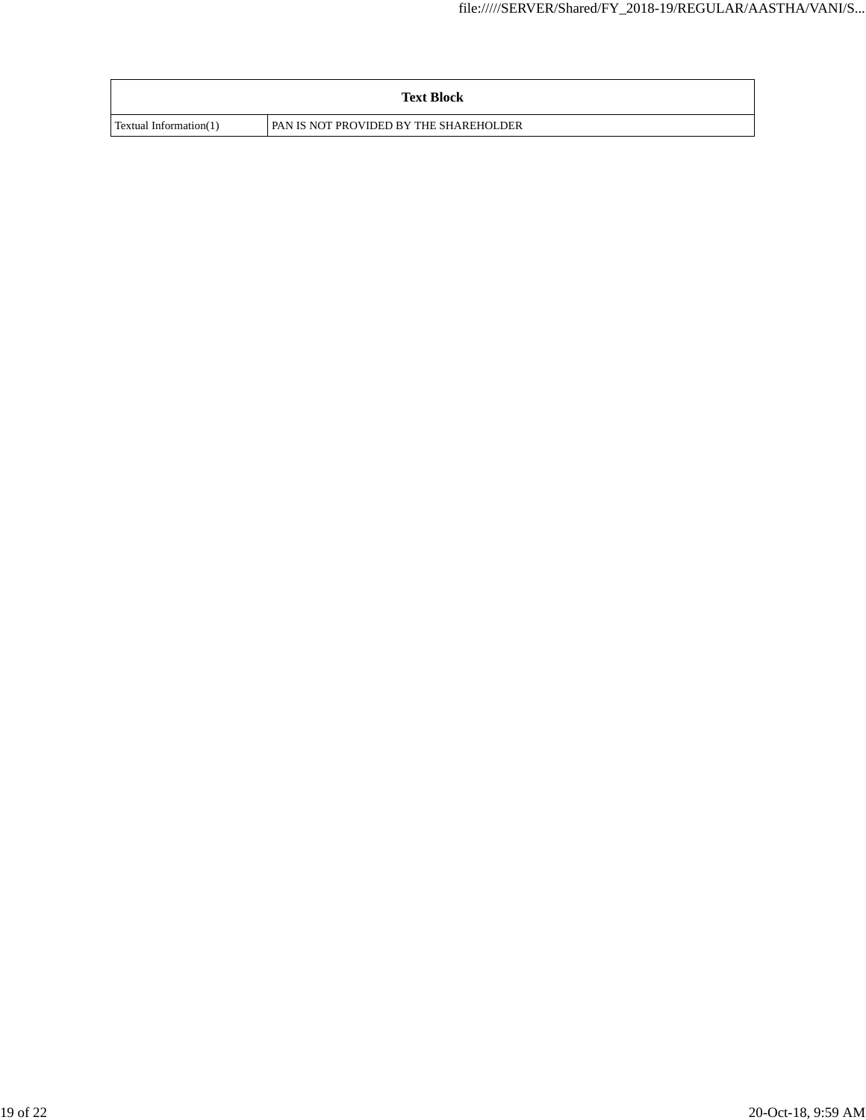|                        | <b>Text Block</b>                      |
|------------------------|----------------------------------------|
| Textual Information(1) | PAN IS NOT PROVIDED BY THE SHAREHOLDER |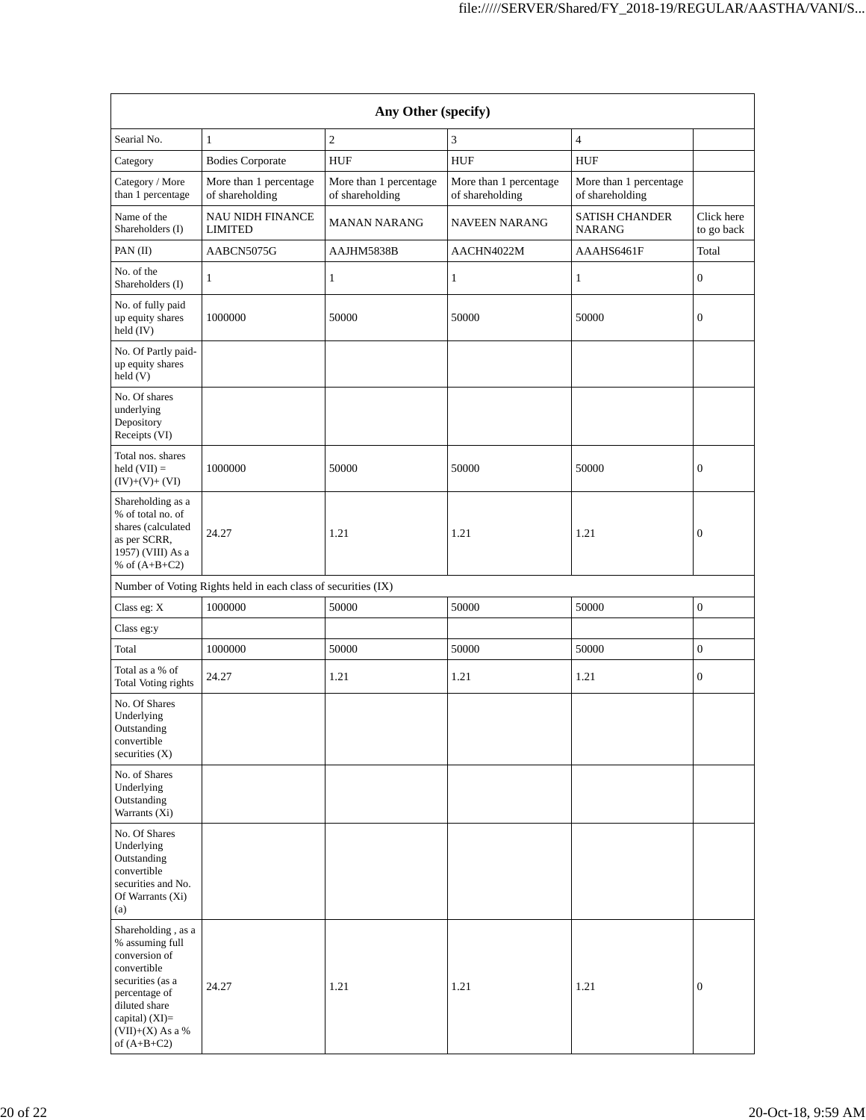|                                                                                                                                                                                      | Any Other (specify)                                           |                                           |                                           |                                           |                          |  |  |  |
|--------------------------------------------------------------------------------------------------------------------------------------------------------------------------------------|---------------------------------------------------------------|-------------------------------------------|-------------------------------------------|-------------------------------------------|--------------------------|--|--|--|
| Searial No.                                                                                                                                                                          | $\mathbf{1}$                                                  | $\mathfrak{2}$                            | 3                                         | $\overline{4}$                            |                          |  |  |  |
| Category                                                                                                                                                                             | <b>Bodies Corporate</b>                                       | <b>HUF</b>                                | <b>HUF</b>                                | <b>HUF</b>                                |                          |  |  |  |
| Category / More<br>than 1 percentage                                                                                                                                                 | More than 1 percentage<br>of shareholding                     | More than 1 percentage<br>of shareholding | More than 1 percentage<br>of shareholding | More than 1 percentage<br>of shareholding |                          |  |  |  |
| Name of the<br>Shareholders (I)                                                                                                                                                      | <b>NAU NIDH FINANCE</b><br><b>LIMITED</b>                     | <b>MANAN NARANG</b>                       | <b>NAVEEN NARANG</b>                      | <b>SATISH CHANDER</b><br><b>NARANG</b>    | Click here<br>to go back |  |  |  |
| PAN(II)                                                                                                                                                                              | AABCN5075G                                                    | AAJHM5838B                                | AACHN4022M                                | AAAHS6461F                                | Total                    |  |  |  |
| No. of the<br>Shareholders (I)                                                                                                                                                       | $\mathbf{1}$                                                  | 1                                         | $\mathbf{1}$                              | $\mathbf{1}$                              | $\mathbf{0}$             |  |  |  |
| No. of fully paid<br>up equity shares<br>held (IV)                                                                                                                                   | 1000000                                                       | 50000                                     | 50000                                     | 50000                                     | $\mathbf{0}$             |  |  |  |
| No. Of Partly paid-<br>up equity shares<br>held (V)                                                                                                                                  |                                                               |                                           |                                           |                                           |                          |  |  |  |
| No. Of shares<br>underlying<br>Depository<br>Receipts (VI)                                                                                                                           |                                                               |                                           |                                           |                                           |                          |  |  |  |
| Total nos, shares<br>held $(VII) =$<br>$(IV)+(V)+(VI)$                                                                                                                               | 1000000                                                       | 50000                                     | 50000                                     | 50000                                     | $\mathbf{0}$             |  |  |  |
| Shareholding as a<br>% of total no. of<br>shares (calculated<br>as per SCRR,<br>1957) (VIII) As a<br>% of $(A+B+C2)$                                                                 | 24.27                                                         | 1.21                                      | 1.21                                      | 1.21                                      | $\mathbf{0}$             |  |  |  |
|                                                                                                                                                                                      | Number of Voting Rights held in each class of securities (IX) |                                           |                                           |                                           |                          |  |  |  |
| Class eg: X                                                                                                                                                                          | 1000000                                                       | 50000                                     | 50000                                     | 50000                                     | $\mathbf{0}$             |  |  |  |
| Class eg:y                                                                                                                                                                           |                                                               |                                           |                                           |                                           |                          |  |  |  |
| Total                                                                                                                                                                                | 1000000                                                       | 50000                                     | 50000                                     | 50000                                     | $\overline{0}$           |  |  |  |
| Total as a % of<br>Total Voting rights                                                                                                                                               | 24.27                                                         | 1.21                                      | 1.21                                      | 1.21                                      | $\mathbf{0}$             |  |  |  |
| No. Of Shares<br>Underlying<br>Outstanding<br>convertible<br>securities $(X)$                                                                                                        |                                                               |                                           |                                           |                                           |                          |  |  |  |
| No. of Shares<br>Underlying<br>Outstanding<br>Warrants (Xi)                                                                                                                          |                                                               |                                           |                                           |                                           |                          |  |  |  |
| No. Of Shares<br>Underlying<br>Outstanding<br>convertible<br>securities and No.<br>Of Warrants (Xi)<br>(a)                                                                           |                                                               |                                           |                                           |                                           |                          |  |  |  |
| Shareholding, as a<br>% assuming full<br>conversion of<br>convertible<br>securities (as a<br>percentage of<br>diluted share<br>capital) (XI)=<br>$(VII)+(X)$ As a %<br>of $(A+B+C2)$ | 24.27                                                         | 1.21                                      | 1.21                                      | 1.21                                      | $\mathbf{0}$             |  |  |  |